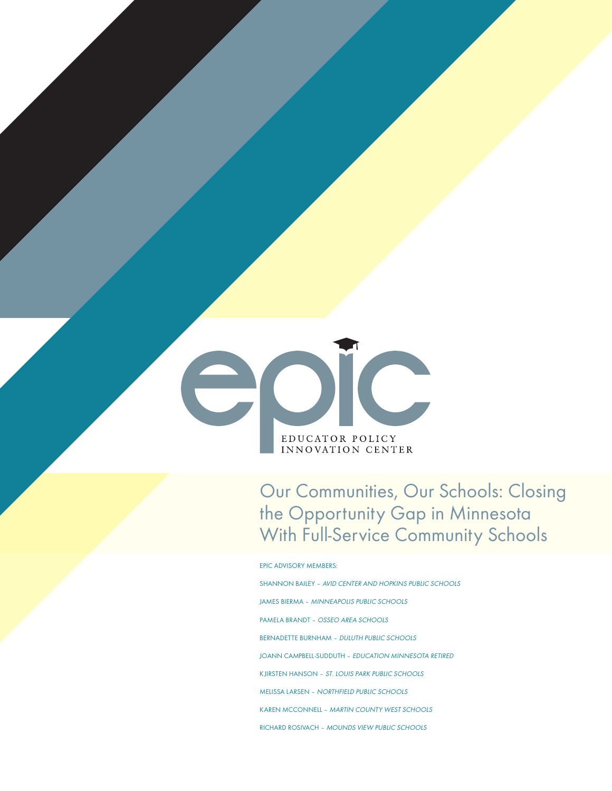

Our Communities, Our Schools: Closing the Opportunity Gap in Minnesota With Full-Service Community Schools

#### EPIC ADVISORY MEMBERS:

SHANNON BAILEY – AVID CENTER AND HOPKINS PUBLIC SCHOOLS JAMES BIERMA – MINNEAPOLIS PUBLIC SCHOOLS PAMELA BRANDT – OSSEO AREA SCHOOLS BERNADETTE BURNHAM – DULUTH PUBLIC SCHOOLS JOANN CAMPBELL-SUDDUTH – EDUCATION MINNESOTA RETIRED KJIRSTEN HANSON – ST. LOUIS PARK PUBLIC SCHOOLS MELISSA LARSEN – NORTHFIELD PUBLIC SCHOOLS KAREN MCCONNELL – MARTIN COUNTY WEST SCHOOLS RICHARD ROSIVACH – MOUNDS VIEW PUBLIC SCHOOLS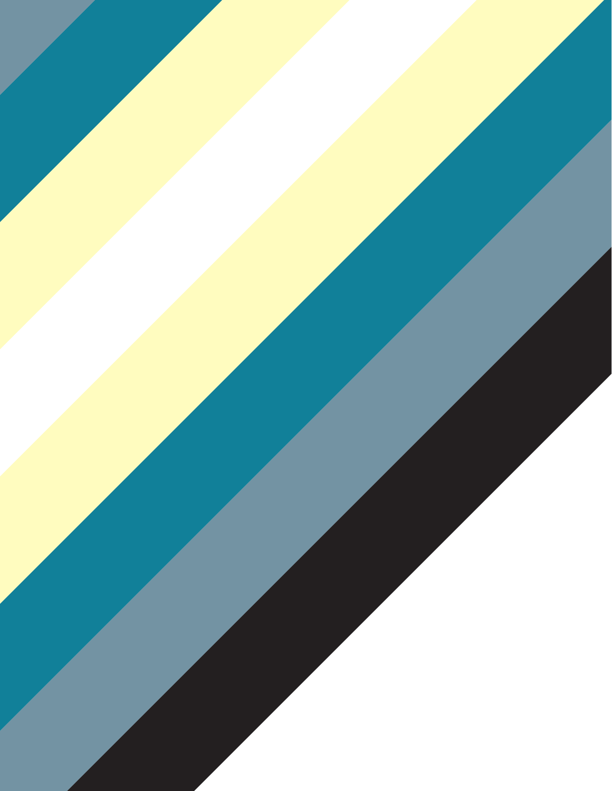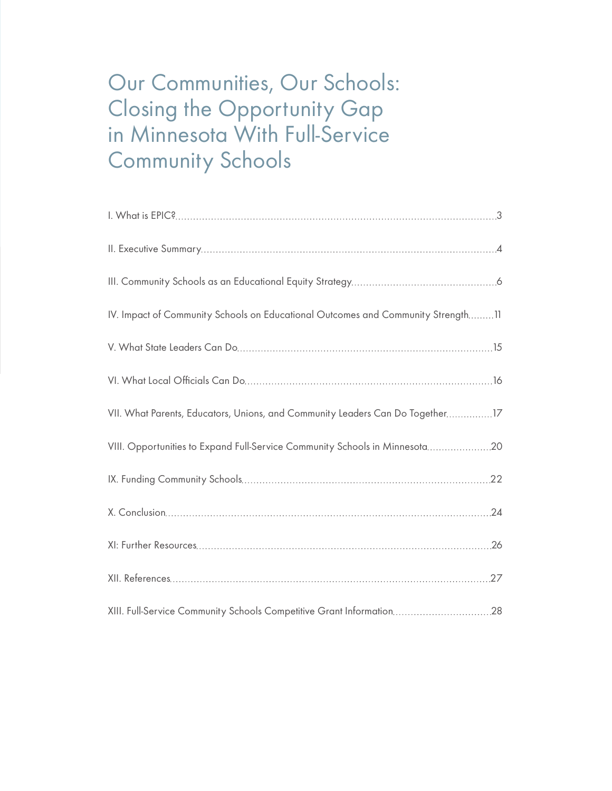## Our Communities, Our Schools: Closing the Opportunity Gap in Minnesota With Full-Service Community Schools

| IV. Impact of Community Schools on Educational Outcomes and Community Strength11 |
|----------------------------------------------------------------------------------|
|                                                                                  |
|                                                                                  |
| VII. What Parents, Educators, Unions, and Community Leaders Can Do Together17    |
| VIII. Opportunities to Expand Full-Service Community Schools in Minnesota 20     |
|                                                                                  |
|                                                                                  |
|                                                                                  |
|                                                                                  |
| XIII. Full-Service Community Schools Competitive Grant Information28             |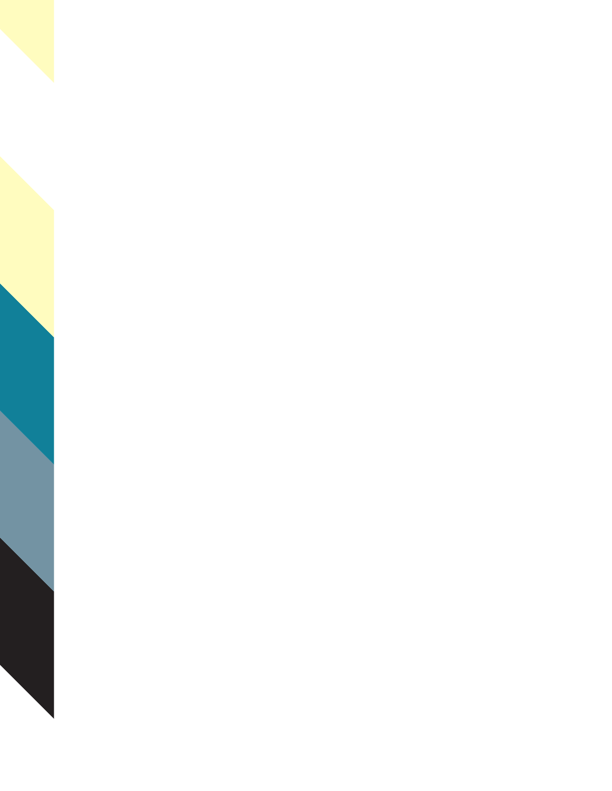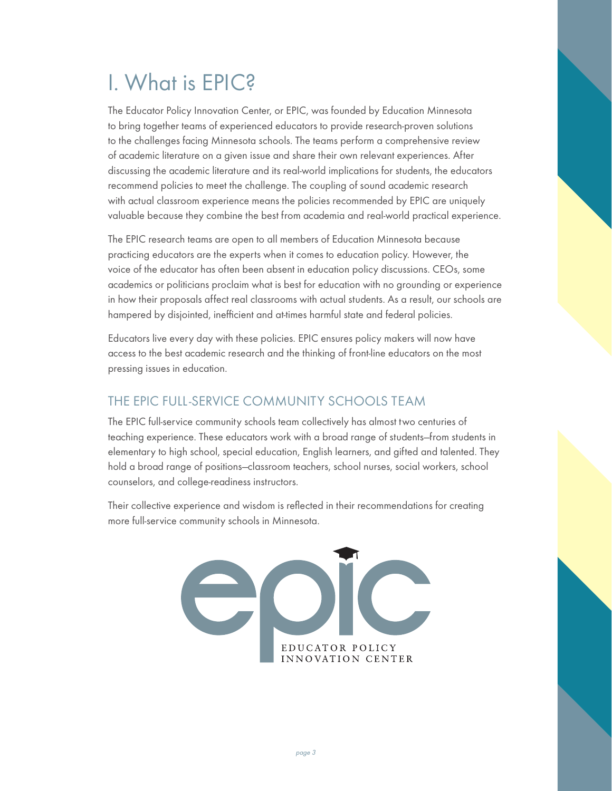## I. What is EPIC?

The Educator Policy Innovation Center, or EPIC, was founded by Education Minnesota to bring together teams of experienced educators to provide research-proven solutions to the challenges facing Minnesota schools. The teams perform a comprehensive review of academic literature on a given issue and share their own relevant experiences. After discussing the academic literature and its real-world implications for students, the educators recommend policies to meet the challenge. The coupling of sound academic research with actual classroom experience means the policies recommended by EPIC are uniquely valuable because they combine the best from academia and real-world practical experience.

The EPIC research teams are open to all members of Education Minnesota because practicing educators are the experts when it comes to education policy. However, the voice of the educator has often been absent in education policy discussions. CEOs, some academics or politicians proclaim what is best for education with no grounding or experience in how their proposals affect real classrooms with actual students. As a result, our schools are hampered by disjointed, inefficient and at-times harmful state and federal policies.

Educators live every day with these policies. EPIC ensures policy makers will now have access to the best academic research and the thinking of front-line educators on the most pressing issues in education.

#### THE EPIC FULL-SERVICE COMMUNITY SCHOOLS TEAM

The EPIC full-service community schools team collectively has almost two centuries of teaching experience. These educators work with a broad range of students—from students in elementary to high school, special education, English learners, and gifted and talented. They hold a broad range of positions—classroom teachers, school nurses, social workers, school counselors, and college-readiness instructors.

Their collective experience and wisdom is reflected in their recommendations for creating more full-service community schools in Minnesota.

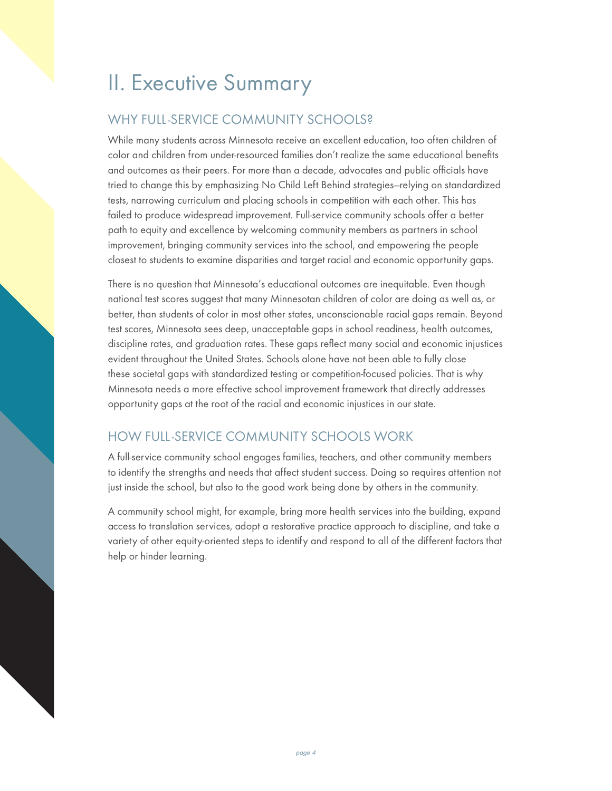## II. Executive Summary

## WHY FULL-SERVICE COMMUNITY SCHOOLS?

While many students across Minnesota receive an excellent education, too often children of color and children from under-resourced families don't realize the same educational benefits and outcomes as their peers. For more than a decade, advocates and public officials have tried to change this by emphasizing No Child Left Behind strategies—relying on standardized tests, narrowing curriculum and placing schools in competition with each other. This has failed to produce widespread improvement. Full-service community schools offer a better path to equity and excellence by welcoming community members as partners in school improvement, bringing community services into the school, and empowering the people closest to students to examine disparities and target racial and economic opportunity gaps.

There is no question that Minnesota's educational outcomes are inequitable. Even though national test scores suggest that many Minnesotan children of color are doing as well as, or better, than students of color in most other states, unconscionable racial gaps remain. Beyond test scores, Minnesota sees deep, unacceptable gaps in school readiness, health outcomes, discipline rates, and graduation rates. These gaps reflect many social and economic injustices evident throughout the United States. Schools alone have not been able to fully close these societal gaps with standardized testing or competition-focused policies. That is why Minnesota needs a more effective school improvement framework that directly addresses opportunity gaps at the root of the racial and economic injustices in our state.

## HOW FULL-SERVICE COMMUNITY SCHOOLS WORK

A full-service community school engages families, teachers, and other community members to identify the strengths and needs that affect student success. Doing so requires attention not just inside the school, but also to the good work being done by others in the community.

A community school might, for example, bring more health services into the building, expand access to translation services, adopt a restorative practice approach to discipline, and take a variety of other equity-oriented steps to identify and respond to all of the different factors that help or hinder learning.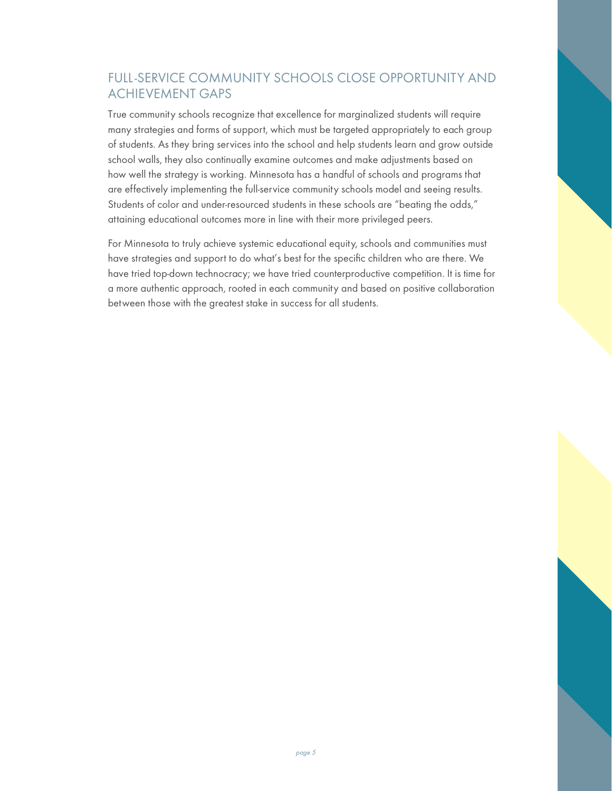### FULL-SERVICE COMMUNITY SCHOOLS CLOSE OPPORTUNITY AND ACHIEVEMENT GAPS

True community schools recognize that excellence for marginalized students will require many strategies and forms of support, which must be targeted appropriately to each group of students. As they bring services into the school and help students learn and grow outside school walls, they also continually examine outcomes and make adjustments based on how well the strategy is working. Minnesota has a handful of schools and programs that are effectively implementing the full-service community schools model and seeing results. Students of color and under-resourced students in these schools are "beating the odds," attaining educational outcomes more in line with their more privileged peers.

For Minnesota to truly achieve systemic educational equity, schools and communities must have strategies and support to do what's best for the specific children who are there. We have tried top-down technocracy; we have tried counterproductive competition. It is time for a more authentic approach, rooted in each community and based on positive collaboration between those with the greatest stake in success for all students.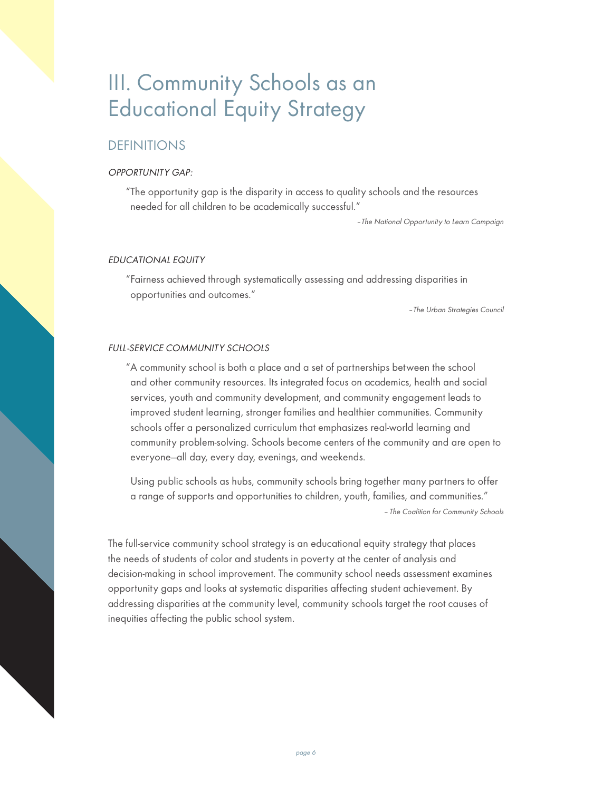## III. Community Schools as an Educational Equity Strategy

#### DEFINITIONS

#### OPPORTUNITY GAP:

"The opportunity gap is the disparity in access to quality schools and the resources needed for all children to be academically successful."

– The National Opportunity to Learn Campaign

#### EDUCATIONAL EQUITY

"Fairness achieved through systematically assessing and addressing disparities in opportunities and outcomes."

– The Urban Strategies Council

#### FULL-SERVICE COMMUNITY SCHOOLS

"A community school is both a place and a set of partnerships between the school and other community resources. Its integrated focus on academics, health and social services, youth and community development, and community engagement leads to improved student learning, stronger families and healthier communities. Community schools offer a personalized curriculum that emphasizes real-world learning and community problem-solving. Schools become centers of the community and are open to everyone—all day, every day, evenings, and weekends.

Using public schools as hubs, community schools bring together many partners to offer a range of supports and opportunities to children, youth, families, and communities."

-- The Coalition for Community Schools

The full-service community school strategy is an educational equity strategy that places the needs of students of color and students in poverty at the center of analysis and decision-making in school improvement. The community school needs assessment examines opportunity gaps and looks at systematic disparities affecting student achievement. By addressing disparities at the community level, community schools target the root causes of inequities affecting the public school system.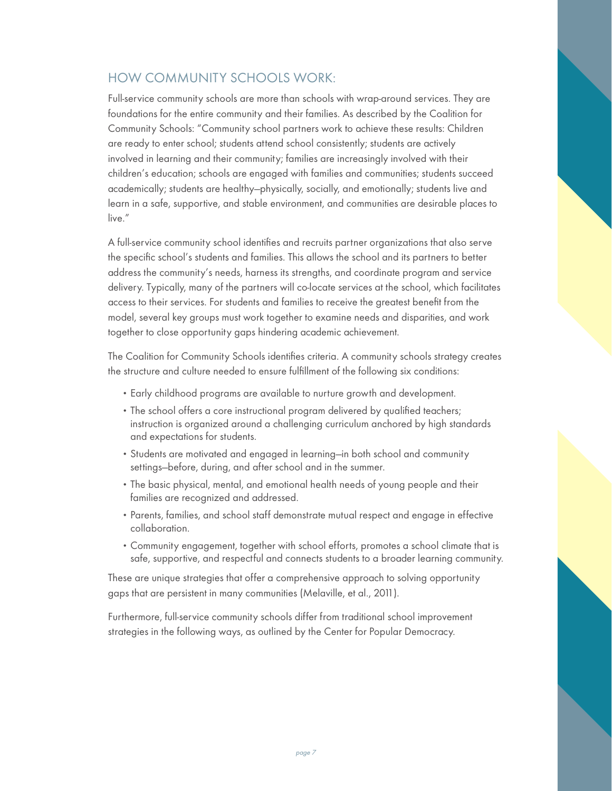## HOW COMMUNITY SCHOOLS WORK:

Full-service community schools are more than schools with wrap-around services. They are foundations for the entire community and their families. As described by the Coalition for Community Schools: "Community school partners work to achieve these results: Children are ready to enter school; students attend school consistently; students are actively involved in learning and their community; families are increasingly involved with their children's education; schools are engaged with families and communities; students succeed academically; students are healthy—physically, socially, and emotionally; students live and learn in a safe, supportive, and stable environment, and communities are desirable places to live."

A full-service community school identifies and recruits partner organizations that also serve the specific school's students and families. This allows the school and its partners to better address the community's needs, harness its strengths, and coordinate program and service delivery. Typically, many of the partners will co-locate services at the school, which facilitates access to their services. For students and families to receive the greatest benefit from the model, several key groups must work together to examine needs and disparities, and work together to close opportunity gaps hindering academic achievement.

The Coalition for Community Schools identifies criteria. A community schools strategy creates the structure and culture needed to ensure fulfillment of the following six conditions:

- •Early childhood programs are available to nurture growth and development.
- •The school offers a core instructional program delivered by qualified teachers; instruction is organized around a challenging curriculum anchored by high standards and expectations for students.
- •Students are motivated and engaged in learning—in both school and community settings—before, during, and after school and in the summer.
- •The basic physical, mental, and emotional health needs of young people and their families are recognized and addressed.
- •Parents, families, and school staff demonstrate mutual respect and engage in effective collaboration.
- Community engagement, together with school efforts, promotes a school climate that is safe, supportive, and respectful and connects students to a broader learning community.

These are unique strategies that offer a comprehensive approach to solving opportunity gaps that are persistent in many communities (Melaville, et al., 2011).

Furthermore, full-service community schools differ from traditional school improvement strategies in the following ways, as outlined by the Center for Popular Democracy.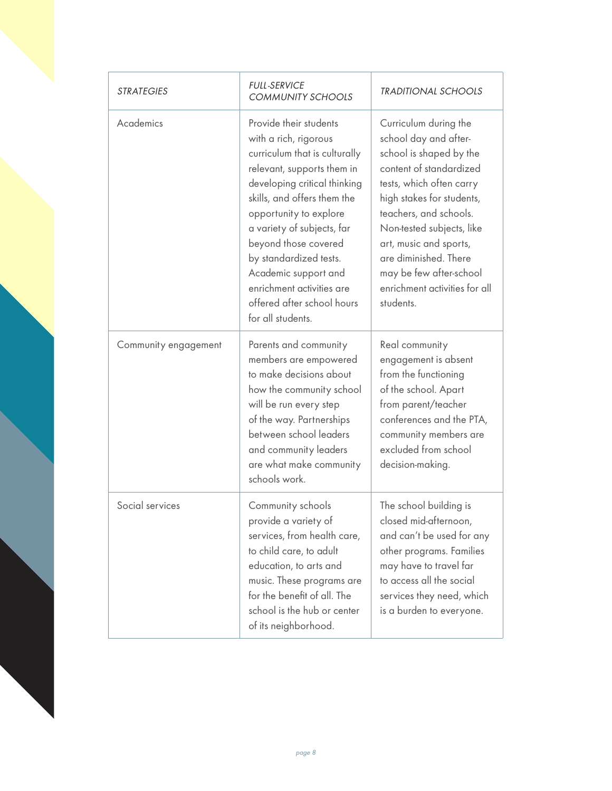| <b>STRATEGIES</b>    | <b>FULL-SERVICE</b><br><b>COMMUNITY SCHOOLS</b>                                                                                                                                                                                                                                                                                                                                                 | <b>TRADITIONAL SCHOOLS</b>                                                                                                                                                                                                                                                                                                                       |
|----------------------|-------------------------------------------------------------------------------------------------------------------------------------------------------------------------------------------------------------------------------------------------------------------------------------------------------------------------------------------------------------------------------------------------|--------------------------------------------------------------------------------------------------------------------------------------------------------------------------------------------------------------------------------------------------------------------------------------------------------------------------------------------------|
| Academics            | Provide their students<br>with a rich, rigorous<br>curriculum that is culturally<br>relevant, supports them in<br>developing critical thinking<br>skills, and offers them the<br>opportunity to explore<br>a variety of subjects, far<br>beyond those covered<br>by standardized tests.<br>Academic support and<br>enrichment activities are<br>offered after school hours<br>for all students. | Curriculum during the<br>school day and after-<br>school is shaped by the<br>content of standardized<br>tests, which often carry<br>high stakes for students,<br>teachers, and schools.<br>Non-tested subjects, like<br>art, music and sports,<br>are diminished. There<br>may be few after-school<br>enrichment activities for all<br>students. |
| Community engagement | Parents and community<br>members are empowered<br>to make decisions about<br>how the community school<br>will be run every step<br>of the way. Partnerships<br>between school leaders<br>and community leaders<br>are what make community<br>schools work.                                                                                                                                      | Real community<br>engagement is absent<br>from the functioning<br>of the school. Apart<br>from parent/teacher<br>conferences and the PTA,<br>community members are<br>excluded from school<br>decision-making.                                                                                                                                   |
| Social services      | Community schools<br>provide a variety of<br>services, from health care,<br>to child care, to adult<br>education, to arts and<br>music. These programs are<br>for the benefit of all. The<br>school is the hub or center<br>of its neighborhood.                                                                                                                                                | The school building is<br>closed mid-afternoon,<br>and can't be used for any<br>other programs. Families<br>may have to travel far<br>to access all the social<br>services they need, which<br>is a burden to everyone.                                                                                                                          |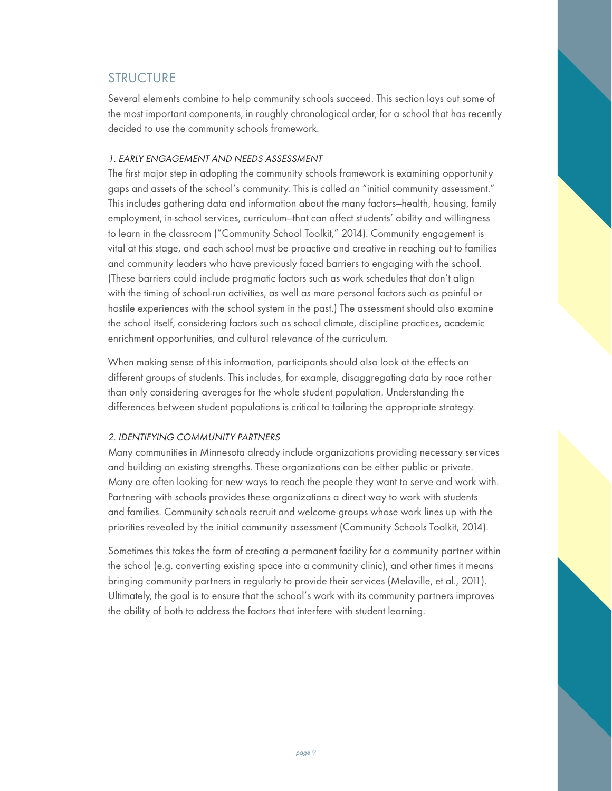#### **STRUCTURE**

Several elements combine to help community schools succeed. This section lays out some of the most important components, in roughly chronological order, for a school that has recently decided to use the community schools framework.

#### 1. EARLY ENGAGEMENT AND NEEDS ASSESSMENT

The first major step in adopting the community schools framework is examining opportunity gaps and assets of the school's community. This is called an "initial community assessment." This includes gathering data and information about the many factors—health, housing, family employment, in-school services, curriculum—that can affect students' ability and willingness to learn in the classroom ("Community School Toolkit," 2014). Community engagement is vital at this stage, and each school must be proactive and creative in reaching out to families and community leaders who have previously faced barriers to engaging with the school. (These barriers could include pragmatic factors such as work schedules that don't align with the timing of school-run activities, as well as more personal factors such as painful or hostile experiences with the school system in the past.) The assessment should also examine the school itself, considering factors such as school climate, discipline practices, academic enrichment opportunities, and cultural relevance of the curriculum.

When making sense of this information, participants should also look at the effects on different groups of students. This includes, for example, disaggregating data by race rather than only considering averages for the whole student population. Understanding the differences between student populations is critical to tailoring the appropriate strategy.

#### 2. IDENTIFYING COMMUNITY PARTNERS

Many communities in Minnesota already include organizations providing necessary services and building on existing strengths. These organizations can be either public or private. Many are often looking for new ways to reach the people they want to serve and work with. Partnering with schools provides these organizations a direct way to work with students and families. Community schools recruit and welcome groups whose work lines up with the priorities revealed by the initial community assessment (Community Schools Toolkit, 2014).

Sometimes this takes the form of creating a permanent facility for a community partner within the school (e.g. converting existing space into a community clinic), and other times it means bringing community partners in regularly to provide their services (Melaville, et al., 2011). Ultimately, the goal is to ensure that the school's work with its community partners improves the ability of both to address the factors that interfere with student learning.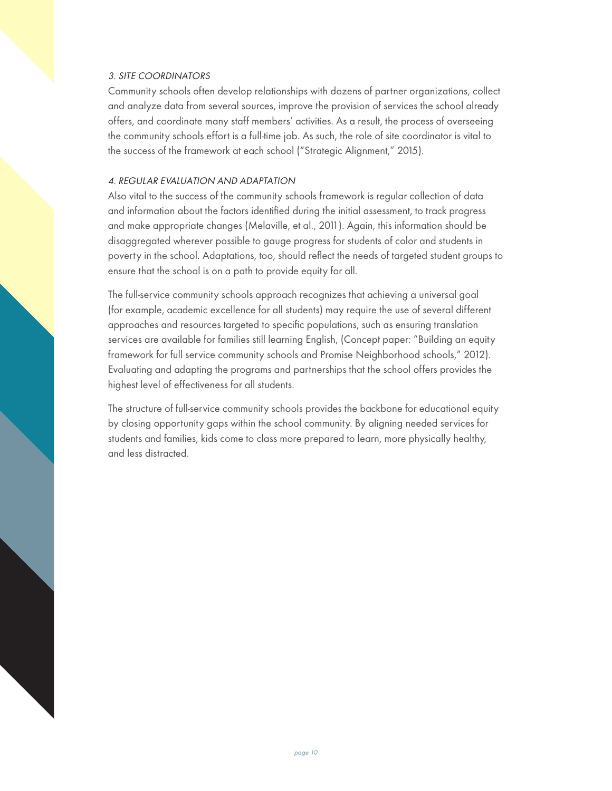#### 3. SITE COORDINATORS

Community schools often develop relationships with dozens of partner organizations, collect and analyze data from several sources, improve the provision of services the school already offers, and coordinate many staff members' activities. As a result, the process of overseeing the community schools effort is a full-time job. As such, the role of site coordinator is vital to the success of the framework at each school ("Strategic Alignment," 2015).

#### 4. REGULAR EVALUATION AND ADAPTATION

Also vital to the success of the community schools framework is regular collection of data and information about the factors identified during the initial assessment, to track progress and make appropriate changes (Melaville, et al., 2011). Again, this information should be disaggregated wherever possible to gauge progress for students of color and students in poverty in the school. Adaptations, too, should reflect the needs of targeted student groups to ensure that the school is on a path to provide equity for all.

The full-service community schools approach recognizes that achieving a universal goal (for example, academic excellence for all students) may require the use of several different approaches and resources targeted to specific populations, such as ensuring translation services are available for families still learning English, (Concept paper: "Building an equity framework for full service community schools and Promise Neighborhood schools," 2012). Evaluating and adapting the programs and partnerships that the school offers provides the highest level of effectiveness for all students.

The structure of full-service community schools provides the backbone for educational equity by closing opportunity gaps within the school community. By aligning needed services for students and families, kids come to class more prepared to learn, more physically healthy, and less distracted.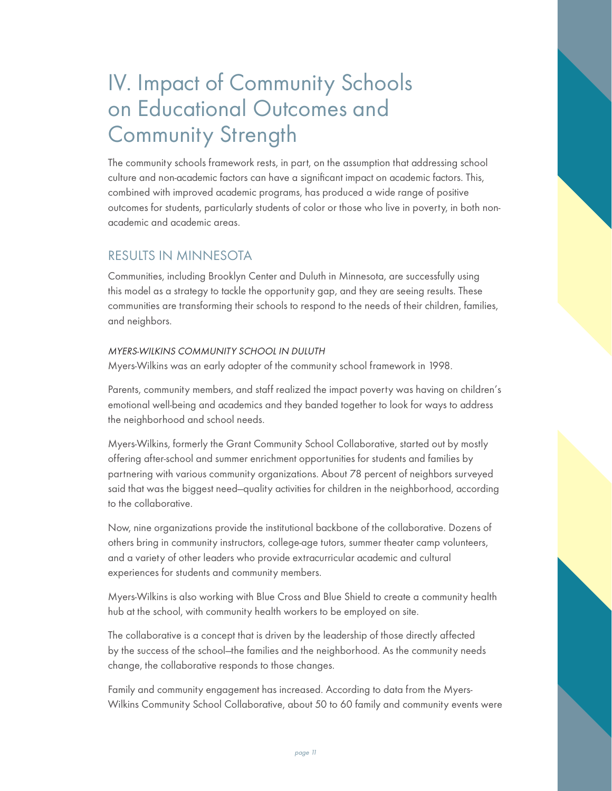## IV. Impact of Community Schools on Educational Outcomes and Community Strength

The community schools framework rests, in part, on the assumption that addressing school culture and non-academic factors can have a significant impact on academic factors. This, combined with improved academic programs, has produced a wide range of positive outcomes for students, particularly students of color or those who live in poverty, in both nonacademic and academic areas.

#### RESULTS IN MINNESOTA

Communities, including Brooklyn Center and Duluth in Minnesota, are successfully using this model as a strategy to tackle the opportunity gap, and they are seeing results. These communities are transforming their schools to respond to the needs of their children, families, and neighbors.

#### MYERS-WILKINS COMMUNITY SCHOOL IN DULUTH

Myers-Wilkins was an early adopter of the community school framework in 1998.

Parents, community members, and staff realized the impact poverty was having on children's emotional well-being and academics and they banded together to look for ways to address the neighborhood and school needs.

Myers-Wilkins, formerly the Grant Community School Collaborative, started out by mostly offering after-school and summer enrichment opportunities for students and families by partnering with various community organizations. About 78 percent of neighbors surveyed said that was the biggest need—quality activities for children in the neighborhood, according to the collaborative.

Now, nine organizations provide the institutional backbone of the collaborative. Dozens of others bring in community instructors, college-age tutors, summer theater camp volunteers, and a variety of other leaders who provide extracurricular academic and cultural experiences for students and community members.

Myers-Wilkins is also working with Blue Cross and Blue Shield to create a community health hub at the school, with community health workers to be employed on site.

The collaborative is a concept that is driven by the leadership of those directly affected by the success of the school—the families and the neighborhood. As the community needs change, the collaborative responds to those changes.

Family and community engagement has increased. According to data from the Myers-Wilkins Community School Collaborative, about 50 to 60 family and community events were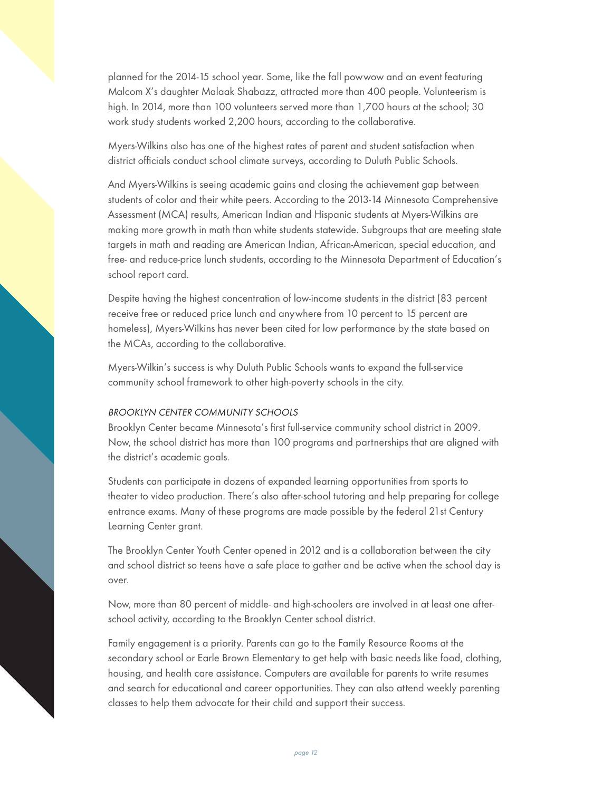planned for the 2014-15 school year. Some, like the fall powwow and an event featuring Malcom X's daughter Malaak Shabazz, attracted more than 400 people. Volunteerism is high. In 2014, more than 100 volunteers served more than 1,700 hours at the school; 30 work study students worked 2,200 hours, according to the collaborative.

Myers-Wilkins also has one of the highest rates of parent and student satisfaction when district officials conduct school climate surveys, according to Duluth Public Schools.

And Myers-Wilkins is seeing academic gains and closing the achievement gap between students of color and their white peers. According to the 2013-14 Minnesota Comprehensive Assessment (MCA) results, American Indian and Hispanic students at Myers-Wilkins are making more growth in math than white students statewide. Subgroups that are meeting state targets in math and reading are American Indian, African-American, special education, and free- and reduce-price lunch students, according to the Minnesota Department of Education's school report card.

Despite having the highest concentration of low-income students in the district (83 percent receive free or reduced price lunch and anywhere from 10 percent to 15 percent are homeless), Myers-Wilkins has never been cited for low performance by the state based on the MCAs, according to the collaborative.

Myers-Wilkin's success is why Duluth Public Schools wants to expand the full-service community school framework to other high-poverty schools in the city.

#### BROOKLYN CENTER COMMUNITY SCHOOLS

Brooklyn Center became Minnesota's first full-service community school district in 2009. Now, the school district has more than 100 programs and partnerships that are aligned with the district's academic goals.

Students can participate in dozens of expanded learning opportunities from sports to theater to video production. There's also after-school tutoring and help preparing for college entrance exams. Many of these programs are made possible by the federal 21st Century Learning Center grant.

The Brooklyn Center Youth Center opened in 2012 and is a collaboration between the city and school district so teens have a safe place to gather and be active when the school day is over.

Now, more than 80 percent of middle- and high-schoolers are involved in at least one afterschool activity, according to the Brooklyn Center school district.

Family engagement is a priority. Parents can go to the Family Resource Rooms at the secondary school or Earle Brown Elementary to get help with basic needs like food, clothing, housing, and health care assistance. Computers are available for parents to write resumes and search for educational and career opportunities. They can also attend weekly parenting classes to help them advocate for their child and support their success.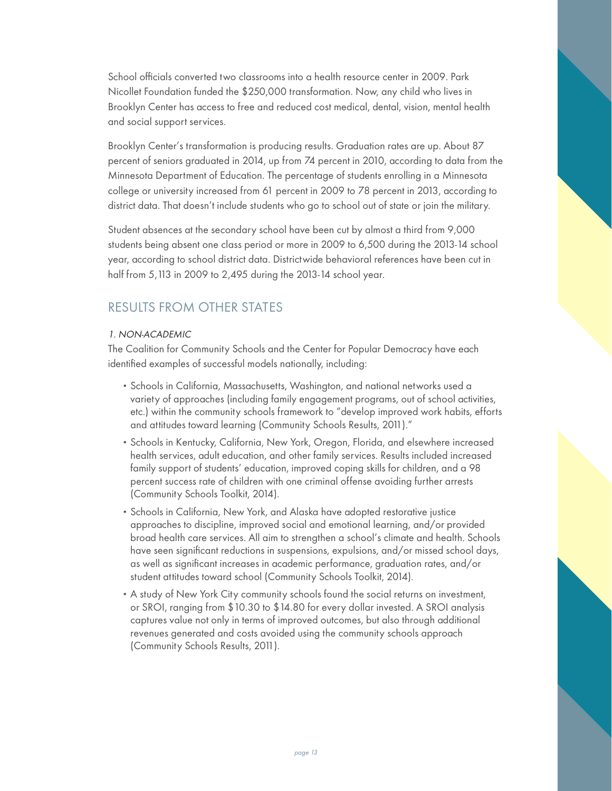School officials converted two classrooms into a health resource center in 2009. Park Nicollet Foundation funded the \$250,000 transformation. Now, any child who lives in Brooklyn Center has access to free and reduced cost medical, dental, vision, mental health and social support services.

Brooklyn Center's transformation is producing results. Graduation rates are up. About 87 percent of seniors graduated in 2014, up from 74 percent in 2010, according to data from the Minnesota Department of Education. The percentage of students enrolling in a Minnesota college or university increased from 61 percent in 2009 to 78 percent in 2013, according to district data. That doesn't include students who go to school out of state or join the military.

Student absences at the secondary school have been cut by almost a third from 9,000 students being absent one class period or more in 2009 to 6,500 during the 2013-14 school year, according to school district data. Districtwide behavioral references have been cut in half from 5,113 in 2009 to 2,495 during the 2013-14 school year.

### RESULTS FROM OTHER STATES

#### 1. NON-ACADEMIC

The Coalition for Community Schools and the Center for Popular Democracy have each identified examples of successful models nationally, including:

- •Schools in California, Massachusetts, Washington, and national networks used a variety of approaches (including family engagement programs, out of school activities, etc.) within the community schools framework to "develop improved work habits, efforts and attitudes toward learning (Community Schools Results, 2011)."
- •Schools in Kentucky, California, New York, Oregon, Florida, and elsewhere increased health services, adult education, and other family services. Results included increased family support of students' education, improved coping skills for children, and a 98 percent success rate of children with one criminal offense avoiding further arrests (Community Schools Toolkit, 2014).
- •Schools in California, New York, and Alaska have adopted restorative justice approaches to discipline, improved social and emotional learning, and/or provided broad health care services. All aim to strengthen a school's climate and health. Schools have seen significant reductions in suspensions, expulsions, and/or missed school days, as well as significant increases in academic performance, graduation rates, and/or student attitudes toward school (Community Schools Toolkit, 2014).
- A study of New York City community schools found the social returns on investment, or SROI, ranging from \$10.30 to \$14.80 for every dollar invested. A SROI analysis captures value not only in terms of improved outcomes, but also through additional revenues generated and costs avoided using the community schools approach (Community Schools Results, 2011).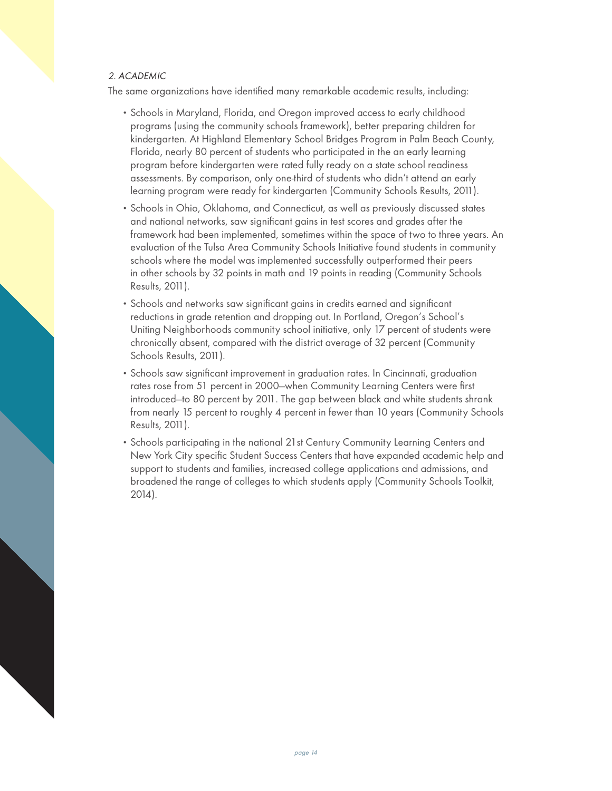#### 2. ACADEMIC

The same organizations have identified many remarkable academic results, including:

- •Schools in Maryland, Florida, and Oregon improved access to early childhood programs (using the community schools framework), better preparing children for kindergarten. At Highland Elementary School Bridges Program in Palm Beach County, Florida, nearly 80 percent of students who participated in the an early learning program before kindergarten were rated fully ready on a state school readiness assessments. By comparison, only one-third of students who didn't attend an early learning program were ready for kindergarten (Community Schools Results, 2011).
- •Schools in Ohio, Oklahoma, and Connecticut, as well as previously discussed states and national networks, saw significant gains in test scores and grades after the framework had been implemented, sometimes within the space of two to three years. An evaluation of the Tulsa Area Community Schools Initiative found students in community schools where the model was implemented successfully outperformed their peers in other schools by 32 points in math and 19 points in reading (Community Schools Results, 2011).
- •Schools and networks saw significant gains in credits earned and significant reductions in grade retention and dropping out. In Portland, Oregon's School's Uniting Neighborhoods community school initiative, only 17 percent of students were chronically absent, compared with the district average of 32 percent (Community Schools Results, 2011).
- •Schools saw significant improvement in graduation rates. In Cincinnati, graduation rates rose from 51 percent in 2000—when Community Learning Centers were first introduced—to 80 percent by 2011. The gap between black and white students shrank from nearly 15 percent to roughly 4 percent in fewer than 10 years (Community Schools Results, 2011).
- •Schools participating in the national 21st Century Community Learning Centers and New York City specific Student Success Centers that have expanded academic help and support to students and families, increased college applications and admissions, and broadened the range of colleges to which students apply (Community Schools Toolkit, 2014).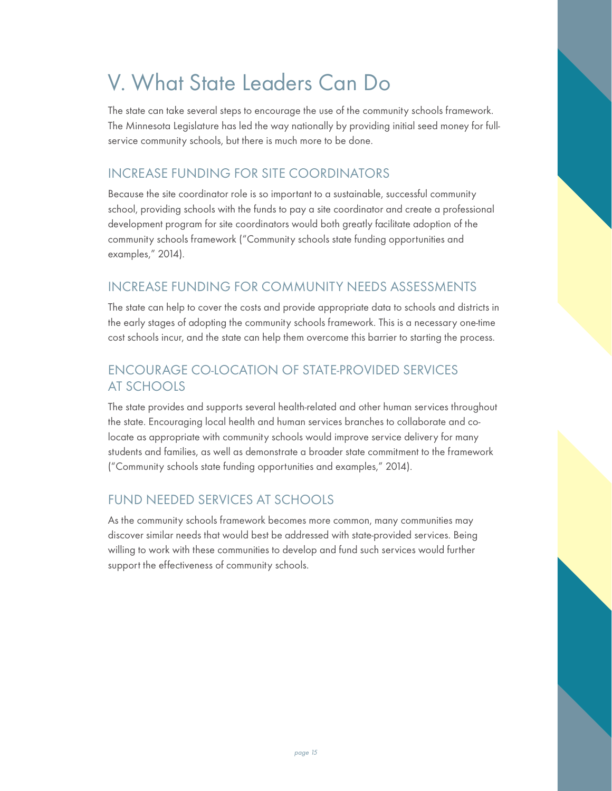# V. What State Leaders Can Do

The state can take several steps to encourage the use of the community schools framework. The Minnesota Legislature has led the way nationally by providing initial seed money for fullservice community schools, but there is much more to be done.

### INCREASE FUNDING FOR SITE COORDINATORS

Because the site coordinator role is so important to a sustainable, successful community school, providing schools with the funds to pay a site coordinator and create a professional development program for site coordinators would both greatly facilitate adoption of the community schools framework ("Community schools state funding opportunities and examples," 2014).

#### INCREASE FUNDING FOR COMMUNITY NEEDS ASSESSMENTS

The state can help to cover the costs and provide appropriate data to schools and districts in the early stages of adopting the community schools framework. This is a necessary one-time cost schools incur, and the state can help them overcome this barrier to starting the process.

### ENCOURAGE CO-LOCATION OF STATE-PROVIDED SERVICES AT SCHOOLS

The state provides and supports several health-related and other human services throughout the state. Encouraging local health and human services branches to collaborate and colocate as appropriate with community schools would improve service delivery for many students and families, as well as demonstrate a broader state commitment to the framework ("Community schools state funding opportunities and examples," 2014).

## FUND NEEDED SERVICES AT SCHOOLS

As the community schools framework becomes more common, many communities may discover similar needs that would best be addressed with state-provided services. Being willing to work with these communities to develop and fund such services would further support the effectiveness of community schools.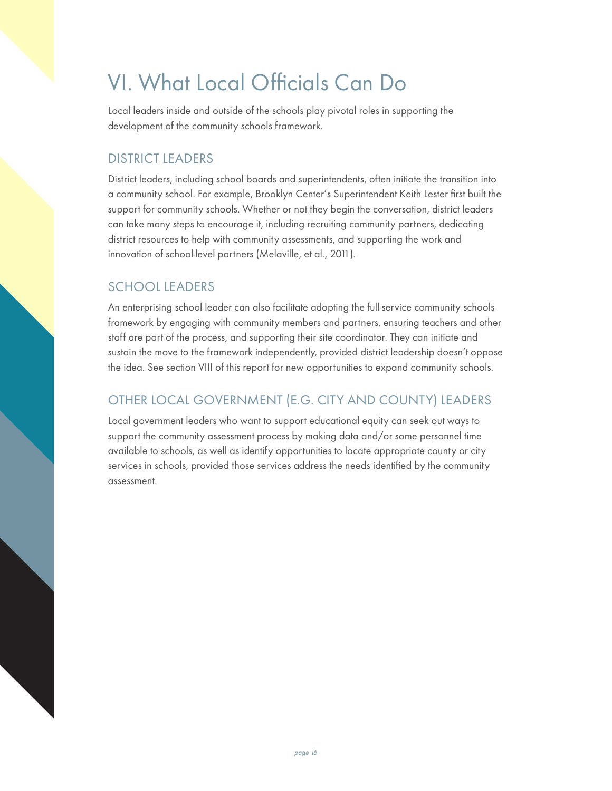# VI. What Local Officials Can Do

Local leaders inside and outside of the schools play pivotal roles in supporting the development of the community schools framework.

### DISTRICT LEADERS

District leaders, including school boards and superintendents, often initiate the transition into a community school. For example, Brooklyn Center's Superintendent Keith Lester first built the support for community schools. Whether or not they begin the conversation, district leaders can take many steps to encourage it, including recruiting community partners, dedicating district resources to help with community assessments, and supporting the work and innovation of school-level partners (Melaville, et al., 2011).

## SCHOOL LEADERS

An enterprising school leader can also facilitate adopting the full-service community schools framework by engaging with community members and partners, ensuring teachers and other staff are part of the process, and supporting their site coordinator. They can initiate and sustain the move to the framework independently, provided district leadership doesn't oppose the idea. See section VIII of this report for new opportunities to expand community schools.

## OTHER LOCAL GOVERNMENT (E.G. CITY AND COUNTY) LEADERS

Local government leaders who want to support educational equity can seek out ways to support the community assessment process by making data and/or some personnel time available to schools, as well as identify opportunities to locate appropriate county or city services in schools, provided those services address the needs identified by the community assessment.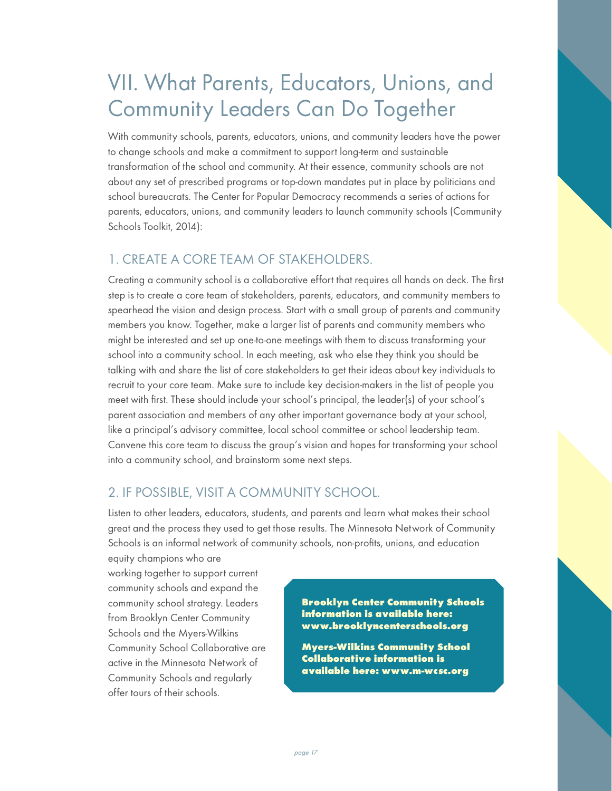## VII. What Parents, Educators, Unions, and Community Leaders Can Do Together

With community schools, parents, educators, unions, and community leaders have the power to change schools and make a commitment to support long-term and sustainable transformation of the school and community. At their essence, community schools are not about any set of prescribed programs or top-down mandates put in place by politicians and school bureaucrats. The Center for Popular Democracy recommends a series of actions for parents, educators, unions, and community leaders to launch community schools (Community Schools Toolkit, 2014):

#### 1. CREATE A CORE TEAM OF STAKEHOLDERS.

Creating a community school is a collaborative effort that requires all hands on deck. The first step is to create a core team of stakeholders, parents, educators, and community members to spearhead the vision and design process. Start with a small group of parents and community members you know. Together, make a larger list of parents and community members who might be interested and set up one-to-one meetings with them to discuss transforming your school into a community school. In each meeting, ask who else they think you should be talking with and share the list of core stakeholders to get their ideas about key individuals to recruit to your core team. Make sure to include key decision-makers in the list of people you meet with first. These should include your school's principal, the leader(s) of your school's parent association and members of any other important governance body at your school, like a principal's advisory committee, local school committee or school leadership team. Convene this core team to discuss the group's vision and hopes for transforming your school into a community school, and brainstorm some next steps.

#### 2. IF POSSIBLE, VISIT A COMMUNITY SCHOOL.

Listen to other leaders, educators, students, and parents and learn what makes their school great and the process they used to get those results. The Minnesota Network of Community Schools is an informal network of community schools, non-profits, unions, and education

equity champions who are working together to support current community schools and expand the community school strategy. Leaders from Brooklyn Center Community Schools and the Myers-Wilkins Community School Collaborative are active in the Minnesota Network of Community Schools and regularly offer tours of their schools.

**Brooklyn Center Community Schools information is available here: www.brooklyncenterschools.org**

**Myers-Wilkins Community School Collaborative information is available here: www.m-wcsc.org**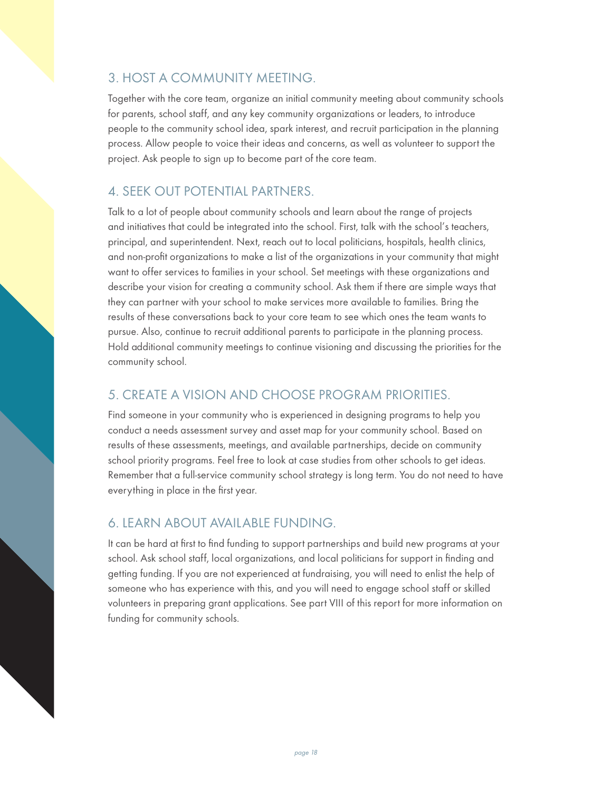### 3. HOST A COMMUNITY MEETING.

Together with the core team, organize an initial community meeting about community schools for parents, school staff, and any key community organizations or leaders, to introduce people to the community school idea, spark interest, and recruit participation in the planning process. Allow people to voice their ideas and concerns, as well as volunteer to support the project. Ask people to sign up to become part of the core team.

#### 4. SEEK OUT POTENTIAL PARTNERS.

Talk to a lot of people about community schools and learn about the range of projects and initiatives that could be integrated into the school. First, talk with the school's teachers, principal, and superintendent. Next, reach out to local politicians, hospitals, health clinics, and non-profit organizations to make a list of the organizations in your community that might want to offer services to families in your school. Set meetings with these organizations and describe your vision for creating a community school. Ask them if there are simple ways that they can partner with your school to make services more available to families. Bring the results of these conversations back to your core team to see which ones the team wants to pursue. Also, continue to recruit additional parents to participate in the planning process. Hold additional community meetings to continue visioning and discussing the priorities for the community school.

#### 5. CREATE A VISION AND CHOOSE PROGRAM PRIORITIES.

Find someone in your community who is experienced in designing programs to help you conduct a needs assessment survey and asset map for your community school. Based on results of these assessments, meetings, and available partnerships, decide on community school priority programs. Feel free to look at case studies from other schools to get ideas. Remember that a full-service community school strategy is long term. You do not need to have everything in place in the first year.

#### 6. LEARN ABOUT AVAILABLE FUNDING.

It can be hard at first to find funding to support partnerships and build new programs at your school. Ask school staff, local organizations, and local politicians for support in finding and getting funding. If you are not experienced at fundraising, you will need to enlist the help of someone who has experience with this, and you will need to engage school staff or skilled volunteers in preparing grant applications. See part VIII of this report for more information on funding for community schools.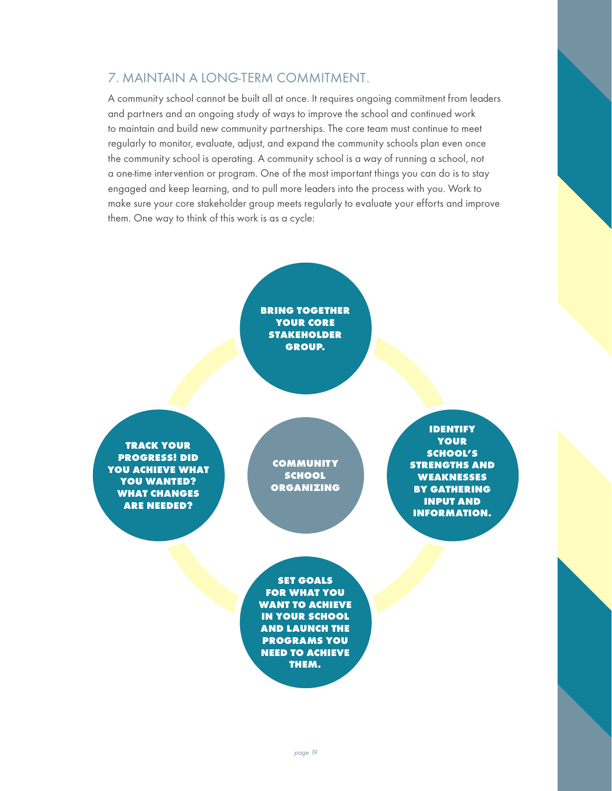### 7. MAINTAIN A LONG-TERM COMMITMENT.

A community school cannot be built all at once. It requires ongoing commitment from leaders and partners and an ongoing study of ways to improve the school and continued work to maintain and build new community partnerships. The core team must continue to meet regularly to monitor, evaluate, adjust, and expand the community schools plan even once the community school is operating. A community school is a way of running a school, not a one-time intervention or program. One of the most important things you can do is to stay engaged and keep learning, and to pull more leaders into the process with you. Work to make sure your core stakeholder group meets regularly to evaluate your efforts and improve them. One way to think of this work is as a cycle:

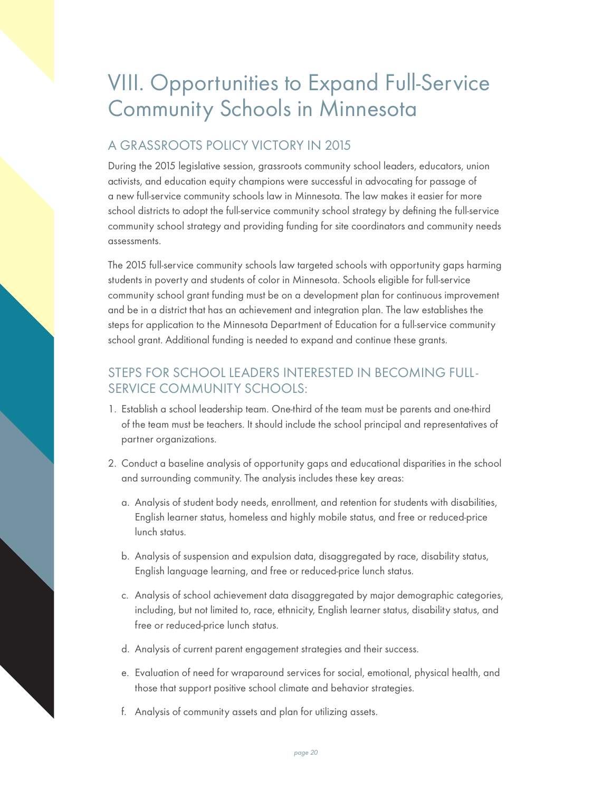## VIII. Opportunities to Expand Full-Service Community Schools in Minnesota

## A GRASSROOTS POLICY VICTORY IN 2015

During the 2015 legislative session, grassroots community school leaders, educators, union activists, and education equity champions were successful in advocating for passage of a new full-service community schools law in Minnesota. The law makes it easier for more school districts to adopt the full-service community school strategy by defining the full-service community school strategy and providing funding for site coordinators and community needs assessments.

The 2015 full-service community schools law targeted schools with opportunity gaps harming students in poverty and students of color in Minnesota. Schools eligible for full-service community school grant funding must be on a development plan for continuous improvement and be in a district that has an achievement and integration plan. The law establishes the steps for application to the Minnesota Department of Education for a full-service community school grant. Additional funding is needed to expand and continue these grants.

#### STEPS FOR SCHOOL LEADERS INTERESTED IN BECOMING FULL-SERVICE COMMUNITY SCHOOLS:

- 1. Establish a school leadership team. One-third of the team must be parents and one-third of the team must be teachers. It should include the school principal and representatives of partner organizations.
- 2. Conduct a baseline analysis of opportunity gaps and educational disparities in the school and surrounding community. The analysis includes these key areas:
	- a. Analysis of student body needs, enrollment, and retention for students with disabilities, English learner status, homeless and highly mobile status, and free or reduced-price lunch status.
	- b. Analysis of suspension and expulsion data, disaggregated by race, disability status, English language learning, and free or reduced-price lunch status.
	- c. Analysis of school achievement data disaggregated by major demographic categories, including, but not limited to, race, ethnicity, English learner status, disability status, and free or reduced-price lunch status.
	- d. Analysis of current parent engagement strategies and their success.
	- e. Evaluation of need for wraparound services for social, emotional, physical health, and those that support positive school climate and behavior strategies.
	- f. Analysis of community assets and plan for utilizing assets.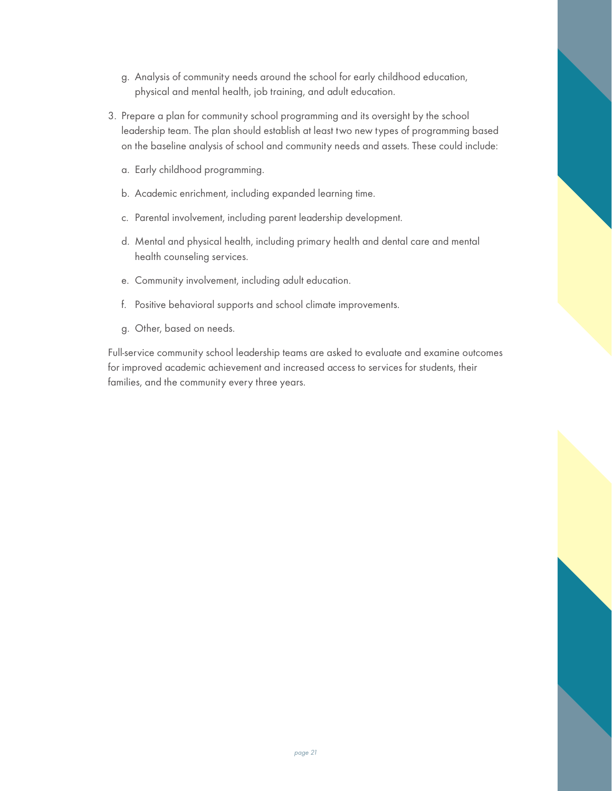- g. Analysis of community needs around the school for early childhood education, physical and mental health, job training, and adult education.
- 3. Prepare a plan for community school programming and its oversight by the school leadership team. The plan should establish at least two new types of programming based on the baseline analysis of school and community needs and assets. These could include:
	- a. Early childhood programming.
	- b. Academic enrichment, including expanded learning time.
	- c. Parental involvement, including parent leadership development.
	- d. Mental and physical health, including primary health and dental care and mental health counseling services.
	- e. Community involvement, including adult education.
	- f. Positive behavioral supports and school climate improvements.
	- g. Other, based on needs.

Full-service community school leadership teams are asked to evaluate and examine outcomes for improved academic achievement and increased access to services for students, their families, and the community every three years.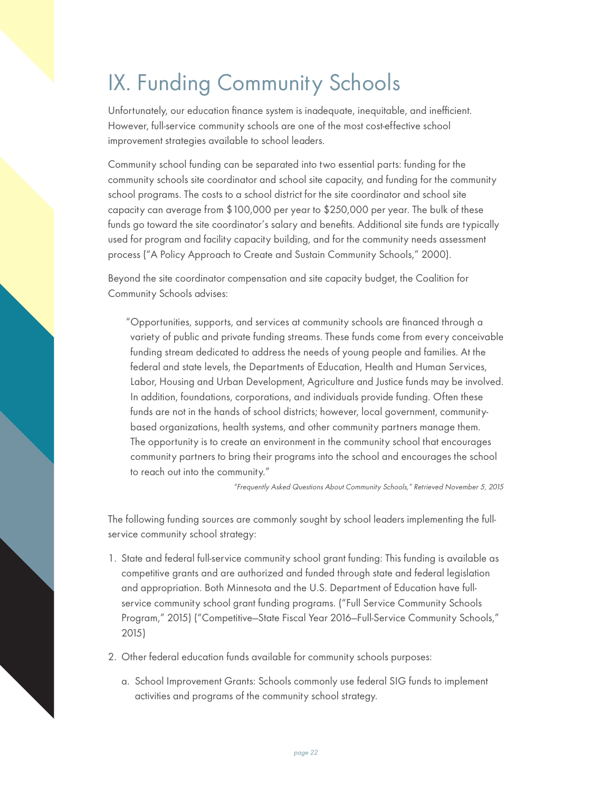# IX. Funding Community Schools

Unfortunately, our education finance system is inadequate, inequitable, and inefficient. However, full-service community schools are one of the most cost-effective school improvement strategies available to school leaders.

Community school funding can be separated into two essential parts: funding for the community schools site coordinator and school site capacity, and funding for the community school programs. The costs to a school district for the site coordinator and school site capacity can average from \$100,000 per year to \$250,000 per year. The bulk of these funds go toward the site coordinator's salary and benefits. Additional site funds are typically used for program and facility capacity building, and for the community needs assessment process ("A Policy Approach to Create and Sustain Community Schools," 2000).

Beyond the site coordinator compensation and site capacity budget, the Coalition for Community Schools advises:

"Opportunities, supports, and services at community schools are financed through a variety of public and private funding streams. These funds come from every conceivable funding stream dedicated to address the needs of young people and families. At the federal and state levels, the Departments of Education, Health and Human Services, Labor, Housing and Urban Development, Agriculture and Justice funds may be involved. In addition, foundations, corporations, and individuals provide funding. Often these funds are not in the hands of school districts; however, local government, communitybased organizations, health systems, and other community partners manage them. The opportunity is to create an environment in the community school that encourages community partners to bring their programs into the school and encourages the school to reach out into the community."

"Frequently Asked Questions About Community Schools," Retrieved November 5, 2015

The following funding sources are commonly sought by school leaders implementing the fullservice community school strategy:

- 1. State and federal full-service community school grant funding: This funding is available as competitive grants and are authorized and funded through state and federal legislation and appropriation. Both Minnesota and the U.S. Department of Education have fullservice community school grant funding programs. ("Full Service Community Schools Program," 2015) ("Competitive—State Fiscal Year 2016—Full-Service Community Schools," 2015)
- 2. Other federal education funds available for community schools purposes:
	- a. School Improvement Grants: Schools commonly use federal SIG funds to implement activities and programs of the community school strategy.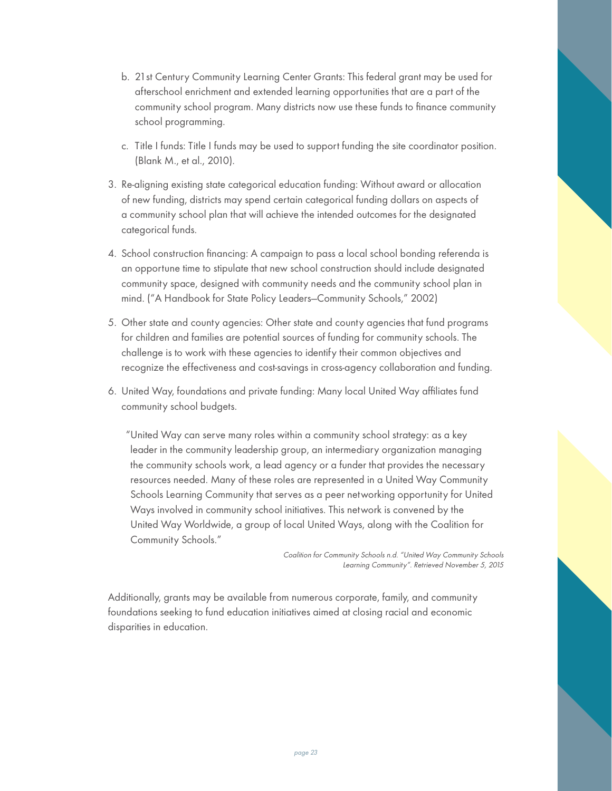- b. 21st Century Community Learning Center Grants: This federal grant may be used for afterschool enrichment and extended learning opportunities that are a part of the community school program. Many districts now use these funds to finance community school programming.
- c. Title I funds: Title I funds may be used to support funding the site coordinator position. (Blank M., et al., 2010).
- 3. Re-aligning existing state categorical education funding: Without award or allocation of new funding, districts may spend certain categorical funding dollars on aspects of a community school plan that will achieve the intended outcomes for the designated categorical funds.
- 4. School construction financing: A campaign to pass a local school bonding referenda is an opportune time to stipulate that new school construction should include designated community space, designed with community needs and the community school plan in mind. ("A Handbook for State Policy Leaders—Community Schools," 2002)
- 5. Other state and county agencies: Other state and county agencies that fund programs for children and families are potential sources of funding for community schools. The challenge is to work with these agencies to identify their common objectives and recognize the effectiveness and cost-savings in cross-agency collaboration and funding.
- 6. United Way, foundations and private funding: Many local United Way affiliates fund community school budgets.

"United Way can serve many roles within a community school strategy: as a key leader in the community leadership group, an intermediary organization managing the community schools work, a lead agency or a funder that provides the necessary resources needed. Many of these roles are represented in a United Way Community Schools Learning Community that serves as a peer networking opportunity for United Ways involved in community school initiatives. This network is convened by the United Way Worldwide, a group of local United Ways, along with the Coalition for Community Schools."

> Coalition for Community Schools n.d. "United Way Community Schools Learning Community". Retrieved November 5, 2015

Additionally, grants may be available from numerous corporate, family, and community foundations seeking to fund education initiatives aimed at closing racial and economic disparities in education.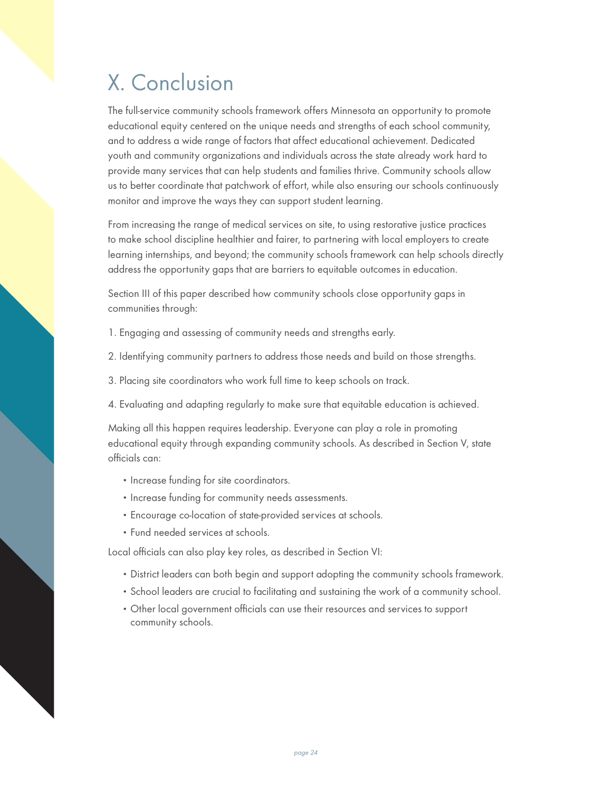# X. Conclusion

The full-service community schools framework offers Minnesota an opportunity to promote educational equity centered on the unique needs and strengths of each school community, and to address a wide range of factors that affect educational achievement. Dedicated youth and community organizations and individuals across the state already work hard to provide many services that can help students and families thrive. Community schools allow us to better coordinate that patchwork of effort, while also ensuring our schools continuously monitor and improve the ways they can support student learning.

From increasing the range of medical services on site, to using restorative justice practices to make school discipline healthier and fairer, to partnering with local employers to create learning internships, and beyond; the community schools framework can help schools directly address the opportunity gaps that are barriers to equitable outcomes in education.

Section III of this paper described how community schools close opportunity gaps in communities through:

- 1. Engaging and assessing of community needs and strengths early.
- 2. Identifying community partners to address those needs and build on those strengths.
- 3. Placing site coordinators who work full time to keep schools on track.
- 4. Evaluating and adapting regularly to make sure that equitable education is achieved.

Making all this happen requires leadership. Everyone can play a role in promoting educational equity through expanding community schools. As described in Section V, state officials can:

- Increase funding for site coordinators.
- Increase funding for community needs assessments.
- •Encourage co-location of state-provided services at schools.
- •Fund needed services at schools.

Local officials can also play key roles, as described in Section VI:

- District leaders can both begin and support adopting the community schools framework.
- •School leaders are crucial to facilitating and sustaining the work of a community school.
- Other local government officials can use their resources and services to support community schools.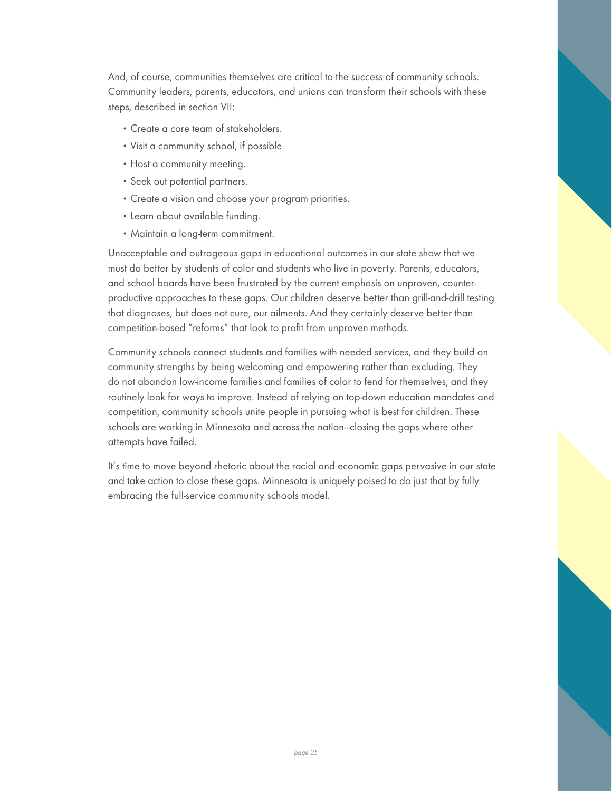And, of course, communities themselves are critical to the success of community schools. Community leaders, parents, educators, and unions can transform their schools with these steps, described in section VII:

- Create a core team of stakeholders.
- •Visit a community school, if possible.
- Host a community meeting.
- •Seek out potential partners.
- Create a vision and choose your program priorities.
- •Learn about available funding.
- Maintain a long-term commitment.

Unacceptable and outrageous gaps in educational outcomes in our state show that we must do better by students of color and students who live in poverty. Parents, educators, and school boards have been frustrated by the current emphasis on unproven, counterproductive approaches to these gaps. Our children deserve better than grill-and-drill testing that diagnoses, but does not cure, our ailments. And they certainly deserve better than competition-based "reforms" that look to profit from unproven methods.

Community schools connect students and families with needed services, and they build on community strengths by being welcoming and empowering rather than excluding. They do not abandon low-income families and families of color to fend for themselves, and they routinely look for ways to improve. Instead of relying on top-down education mandates and competition, community schools unite people in pursuing what is best for children. These schools are working in Minnesota and across the nation—closing the gaps where other attempts have failed.

It's time to move beyond rhetoric about the racial and economic gaps pervasive in our state and take action to close these gaps. Minnesota is uniquely poised to do just that by fully embracing the full-service community schools model.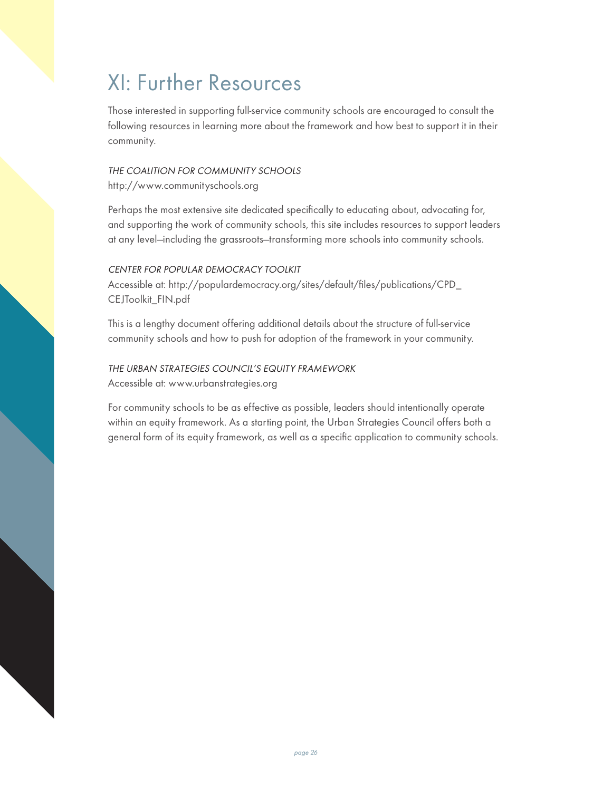# XI: Further Resources

Those interested in supporting full-service community schools are encouraged to consult the following resources in learning more about the framework and how best to support it in their community.

#### THE COALITION FOR COMMUNITY SCHOOLS

http://www.communityschools.org

Perhaps the most extensive site dedicated specifically to educating about, advocating for, and supporting the work of community schools, this site includes resources to support leaders at any level—including the grassroots—transforming more schools into community schools.

#### CENTER FOR POPULAR DEMOCRACY TOOLKIT

Accessible at: http://populardemocracy.org/sites/default/files/publications/CPD\_ CEJToolkit\_FIN.pdf

This is a lengthy document offering additional details about the structure of full-service community schools and how to push for adoption of the framework in your community.

#### THE URBAN STRATEGIES COUNCIL'S EQUITY FRAMEWORK

Accessible at: www.urbanstrategies.org

For community schools to be as effective as possible, leaders should intentionally operate within an equity framework. As a starting point, the Urban Strategies Council offers both a general form of its equity framework, as well as a specific application to community schools.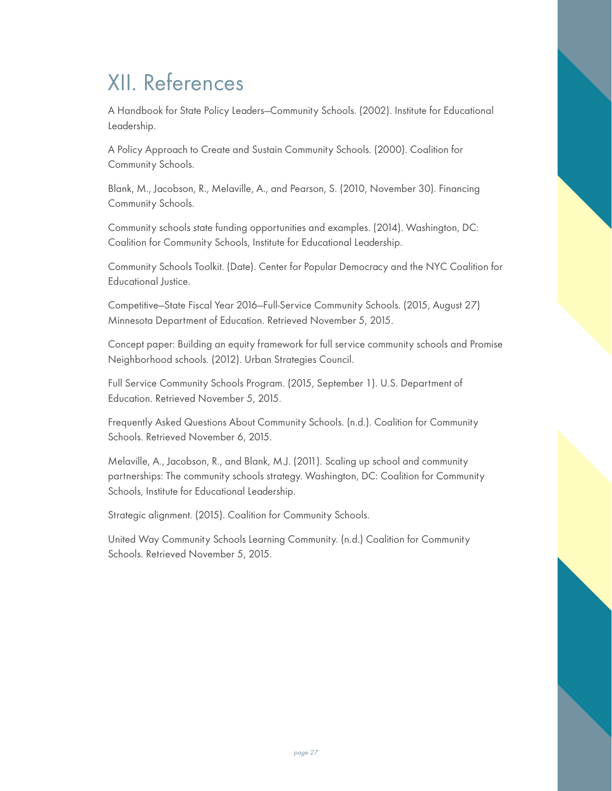# XII. References

A Handbook for State Policy Leaders—Community Schools. (2002). Institute for Educational Leadership.

A Policy Approach to Create and Sustain Community Schools. (2000). Coalition for Community Schools.

Blank, M., Jacobson, R., Melaville, A., and Pearson, S. (2010, November 30). Financing Community Schools.

Community schools state funding opportunities and examples. (2014). Washington, DC: Coalition for Community Schools, Institute for Educational Leadership.

Community Schools Toolkit. (Date). Center for Popular Democracy and the NYC Coalition for Educational Justice.

Competitive—State Fiscal Year 2016—Full-Service Community Schools. (2015, August 27) Minnesota Department of Education. Retrieved November 5, 2015.

Concept paper: Building an equity framework for full service community schools and Promise Neighborhood schools. (2012). Urban Strategies Council.

Full Service Community Schools Program. (2015, September 1). U.S. Department of Education. Retrieved November 5, 2015.

Frequently Asked Questions About Community Schools. (n.d.). Coalition for Community Schools. Retrieved November 6, 2015.

Melaville, A., Jacobson, R., and Blank, M.J. (2011). Scaling up school and community partnerships: The community schools strategy. Washington, DC: Coalition for Community Schools, Institute for Educational Leadership.

Strategic alignment. (2015). Coalition for Community Schools.

United Way Community Schools Learning Community. (n.d.) Coalition for Community Schools. Retrieved November 5, 2015.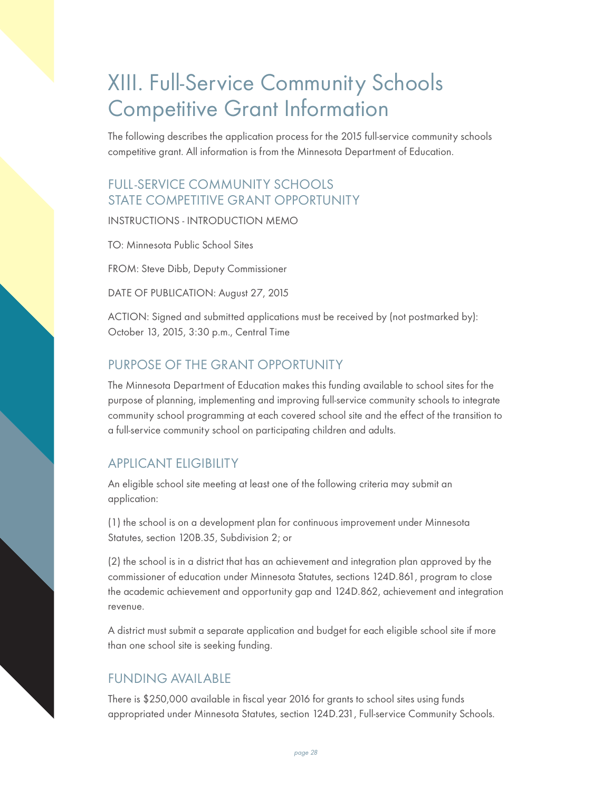## XIII. Full-Service Community Schools Competitive Grant Information

The following describes the application process for the 2015 full-service community schools competitive grant. All information is from the Minnesota Department of Education.

## FULL-SERVICE COMMUNITY SCHOOLS STATE COMPETITIVE GRANT OPPORTUNITY

INSTRUCTIONS - INTRODUCTION MEMO

TO: Minnesota Public School Sites

FROM: Steve Dibb, Deputy Commissioner

DATE OF PUBLICATION: August 27, 2015

ACTION: Signed and submitted applications must be received by (not postmarked by): October 13, 2015, 3:30 p.m., Central Time

## PURPOSE OF THE GRANT OPPORTUNITY

The Minnesota Department of Education makes this funding available to school sites for the purpose of planning, implementing and improving full-service community schools to integrate community school programming at each covered school site and the effect of the transition to a full-service community school on participating children and adults.

## APPLICANT ELIGIBILITY

An eligible school site meeting at least one of the following criteria may submit an application:

(1) the school is on a development plan for continuous improvement under Minnesota Statutes, section 120B.35, Subdivision 2; or

(2) the school is in a district that has an achievement and integration plan approved by the commissioner of education under Minnesota Statutes, sections 124D.861, program to close the academic achievement and opportunity gap and 124D.862, achievement and integration revenue.

A district must submit a separate application and budget for each eligible school site if more than one school site is seeking funding.

#### FUNDING AVAILABLE

There is \$250,000 available in fiscal year 2016 for grants to school sites using funds appropriated under Minnesota Statutes, section 124D.231, Full-service Community Schools.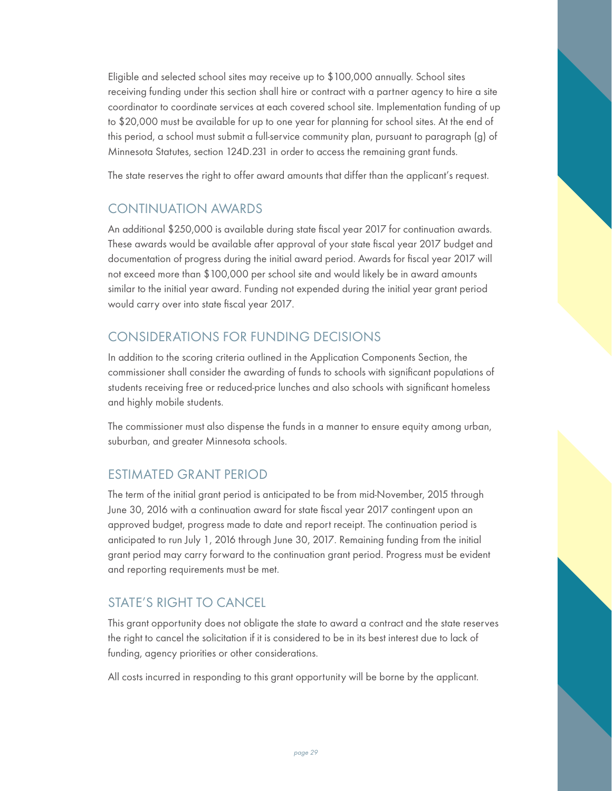Eligible and selected school sites may receive up to \$100,000 annually. School sites receiving funding under this section shall hire or contract with a partner agency to hire a site coordinator to coordinate services at each covered school site. Implementation funding of up to \$20,000 must be available for up to one year for planning for school sites. At the end of this period, a school must submit a full-service community plan, pursuant to paragraph (g) of Minnesota Statutes, section 124D.231 in order to access the remaining grant funds.

The state reserves the right to offer award amounts that differ than the applicant's request.

#### CONTINUATION AWARDS

An additional \$250,000 is available during state fiscal year 2017 for continuation awards. These awards would be available after approval of your state fiscal year 2017 budget and documentation of progress during the initial award period. Awards for fiscal year 2017 will not exceed more than \$100,000 per school site and would likely be in award amounts similar to the initial year award. Funding not expended during the initial year grant period would carry over into state fiscal year 2017.

### CONSIDERATIONS FOR FUNDING DECISIONS

In addition to the scoring criteria outlined in the Application Components Section, the commissioner shall consider the awarding of funds to schools with significant populations of students receiving free or reduced-price lunches and also schools with significant homeless and highly mobile students.

The commissioner must also dispense the funds in a manner to ensure equity among urban, suburban, and greater Minnesota schools.

#### ESTIMATED GRANT PERIOD

The term of the initial grant period is anticipated to be from mid-November, 2015 through June 30, 2016 with a continuation award for state fiscal year 2017 contingent upon an approved budget, progress made to date and report receipt. The continuation period is anticipated to run July 1, 2016 through June 30, 2017. Remaining funding from the initial grant period may carry forward to the continuation grant period. Progress must be evident and reporting requirements must be met.

#### STATE'S RIGHT TO CANCEL

This grant opportunity does not obligate the state to award a contract and the state reserves the right to cancel the solicitation if it is considered to be in its best interest due to lack of funding, agency priorities or other considerations.

All costs incurred in responding to this grant opportunity will be borne by the applicant.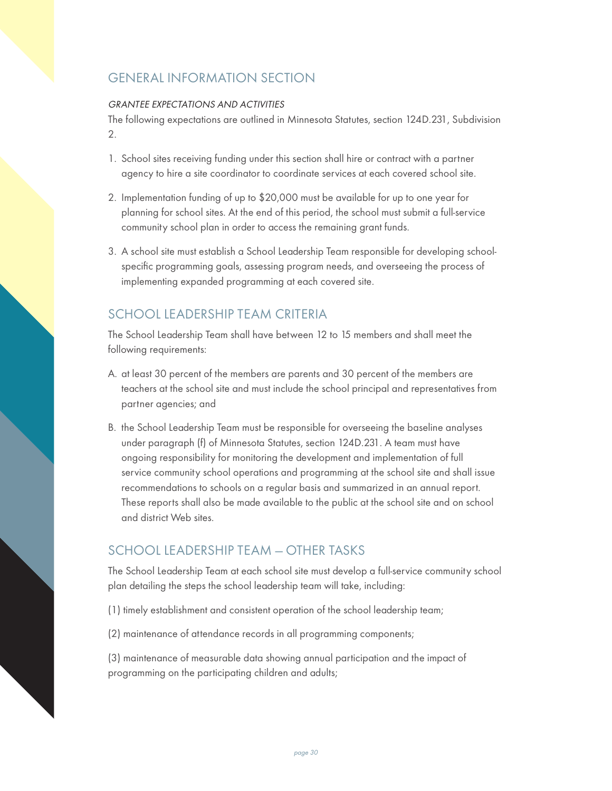## GENERAL INFORMATION SECTION

#### GRANTEE EXPECTATIONS AND ACTIVITIES

The following expectations are outlined in Minnesota Statutes, section 124D.231, Subdivision 2.

- 1. School sites receiving funding under this section shall hire or contract with a partner agency to hire a site coordinator to coordinate services at each covered school site.
- 2. Implementation funding of up to \$20,000 must be available for up to one year for planning for school sites. At the end of this period, the school must submit a full-service community school plan in order to access the remaining grant funds.
- 3. A school site must establish a School Leadership Team responsible for developing schoolspecific programming goals, assessing program needs, and overseeing the process of implementing expanded programming at each covered site.

### SCHOOL LEADERSHIP TEAM CRITERIA

The School Leadership Team shall have between 12 to 15 members and shall meet the following requirements:

- A. at least 30 percent of the members are parents and 30 percent of the members are teachers at the school site and must include the school principal and representatives from partner agencies; and
- B. the School Leadership Team must be responsible for overseeing the baseline analyses under paragraph (f) of Minnesota Statutes, section 124D.231. A team must have ongoing responsibility for monitoring the development and implementation of full service community school operations and programming at the school site and shall issue recommendations to schools on a regular basis and summarized in an annual report. These reports shall also be made available to the public at the school site and on school and district Web sites.

#### SCHOOL LEADERSHIP TEAM — OTHER TASKS

The School Leadership Team at each school site must develop a full-service community school plan detailing the steps the school leadership team will take, including:

- (1) timely establishment and consistent operation of the school leadership team;
- (2) maintenance of attendance records in all programming components;

(3) maintenance of measurable data showing annual participation and the impact of programming on the participating children and adults;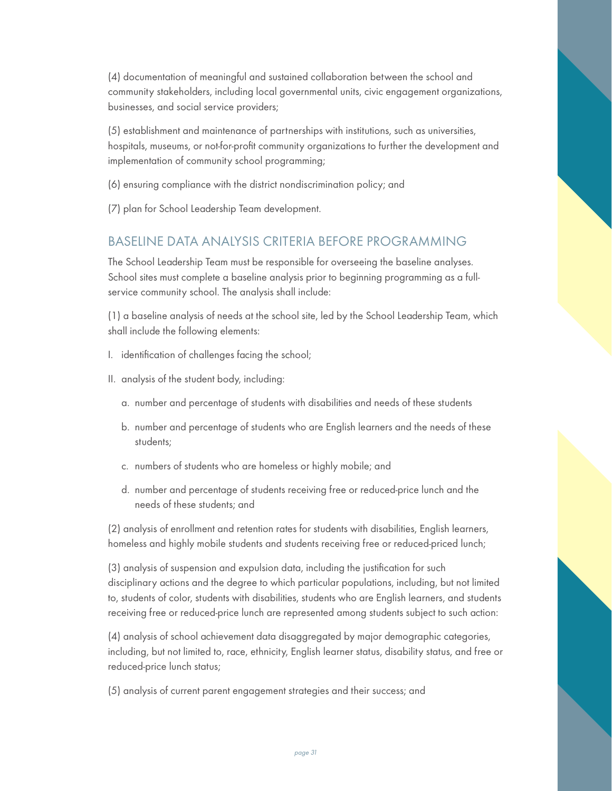(4) documentation of meaningful and sustained collaboration between the school and community stakeholders, including local governmental units, civic engagement organizations, businesses, and social service providers;

(5) establishment and maintenance of partnerships with institutions, such as universities, hospitals, museums, or not-for-profit community organizations to further the development and implementation of community school programming;

(6) ensuring compliance with the district nondiscrimination policy; and

(7) plan for School Leadership Team development.

#### BASELINE DATA ANALYSIS CRITERIA BEFORE PROGRAMMING

The School Leadership Team must be responsible for overseeing the baseline analyses. School sites must complete a baseline analysis prior to beginning programming as a fullservice community school. The analysis shall include:

(1) a baseline analysis of needs at the school site, led by the School Leadership Team, which shall include the following elements:

- I. identification of challenges facing the school;
- II. analysis of the student body, including:
	- a. number and percentage of students with disabilities and needs of these students
	- b. number and percentage of students who are English learners and the needs of these students;
	- c. numbers of students who are homeless or highly mobile; and
	- d. number and percentage of students receiving free or reduced-price lunch and the needs of these students; and

(2) analysis of enrollment and retention rates for students with disabilities, English learners, homeless and highly mobile students and students receiving free or reduced-priced lunch;

(3) analysis of suspension and expulsion data, including the justification for such disciplinary actions and the degree to which particular populations, including, but not limited to, students of color, students with disabilities, students who are English learners, and students receiving free or reduced-price lunch are represented among students subject to such action:

(4) analysis of school achievement data disaggregated by major demographic categories, including, but not limited to, race, ethnicity, English learner status, disability status, and free or reduced-price lunch status;

(5) analysis of current parent engagement strategies and their success; and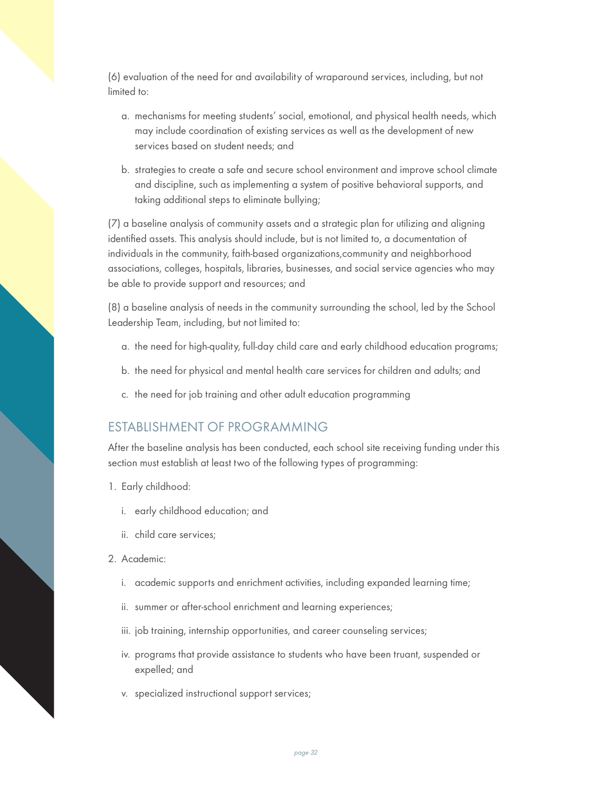(6) evaluation of the need for and availability of wraparound services, including, but not limited to:

- a. mechanisms for meeting students' social, emotional, and physical health needs, which may include coordination of existing services as well as the development of new services based on student needs; and
- b. strategies to create a safe and secure school environment and improve school climate and discipline, such as implementing a system of positive behavioral supports, and taking additional steps to eliminate bullying;

(7) a baseline analysis of community assets and a strategic plan for utilizing and aligning identified assets. This analysis should include, but is not limited to, a documentation of individuals in the community, faith-based organizations,community and neighborhood associations, colleges, hospitals, libraries, businesses, and social service agencies who may be able to provide support and resources; and

(8) a baseline analysis of needs in the community surrounding the school, led by the School Leadership Team, including, but not limited to:

- a. the need for high-quality, full-day child care and early childhood education programs;
- b. the need for physical and mental health care services for children and adults; and
- c. the need for job training and other adult education programming

#### ESTABLISHMENT OF PROGRAMMING

After the baseline analysis has been conducted, each school site receiving funding under this section must establish at least two of the following types of programming:

- 1. Early childhood:
	- i. early childhood education; and
	- ii. child care services;
- 2. Academic:
	- i. academic supports and enrichment activities, including expanded learning time;
	- ii. summer or after-school enrichment and learning experiences;
	- iii. job training, internship opportunities, and career counseling services;
	- iv. programs that provide assistance to students who have been truant, suspended or expelled; and
	- v. specialized instructional support services;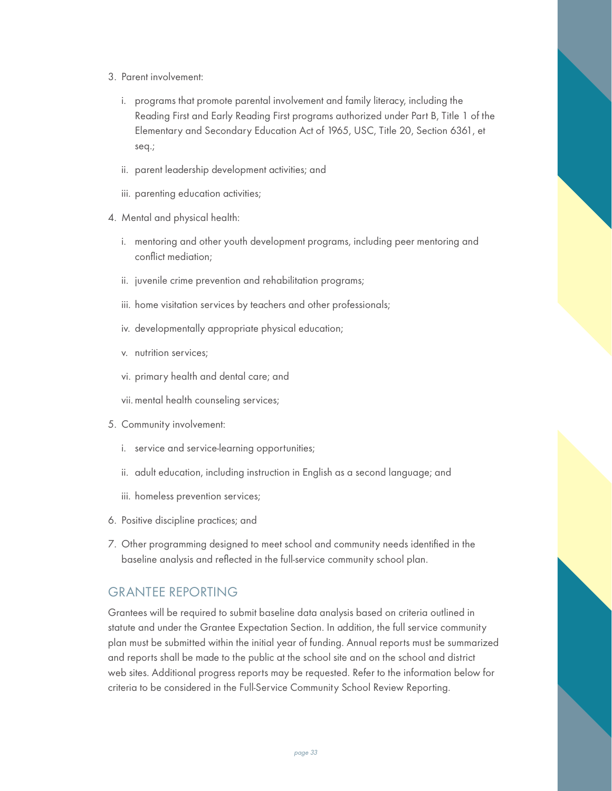- 3. Parent involvement:
	- i. programs that promote parental involvement and family literacy, including the Reading First and Early Reading First programs authorized under Part B, Title 1 of the Elementary and Secondary Education Act of 1965, USC, Title 20, Section 6361, et seq.;
	- ii. parent leadership development activities; and
	- iii. parenting education activities;
- 4. Mental and physical health:
	- i. mentoring and other youth development programs, including peer mentoring and conflict mediation;
	- ii. juvenile crime prevention and rehabilitation programs;
	- iii. home visitation services by teachers and other professionals;
	- iv. developmentally appropriate physical education;
	- v. nutrition services;
	- vi. primary health and dental care; and
	- vii. mental health counseling services;
- 5. Community involvement:
	- i. service and service-learning opportunities;
	- ii. adult education, including instruction in English as a second language; and
	- iii. homeless prevention services;
- 6. Positive discipline practices; and
- 7. Other programming designed to meet school and community needs identified in the baseline analysis and reflected in the full-service community school plan.

#### GRANTEE REPORTING

Grantees will be required to submit baseline data analysis based on criteria outlined in statute and under the Grantee Expectation Section. In addition, the full service community plan must be submitted within the initial year of funding. Annual reports must be summarized and reports shall be made to the public at the school site and on the school and district web sites. Additional progress reports may be requested. Refer to the information below for criteria to be considered in the Full-Service Community School Review Reporting.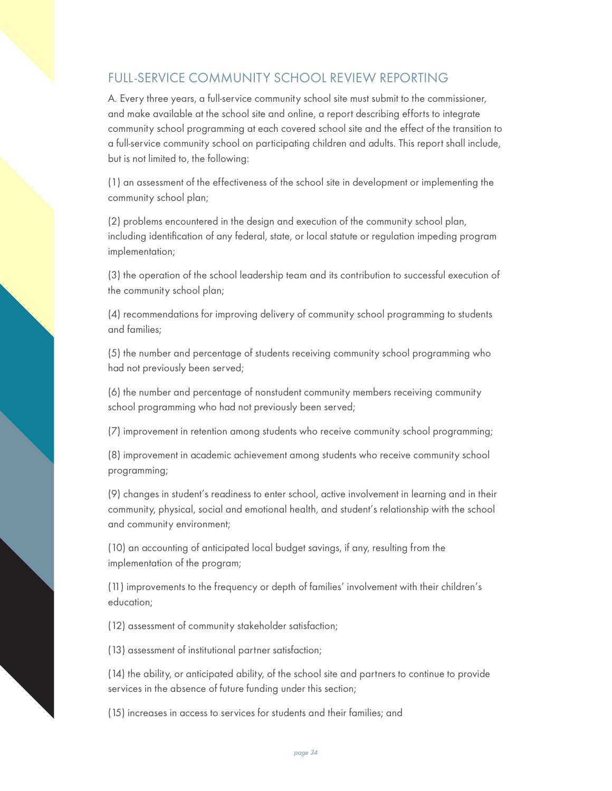#### FULL-SERVICE COMMUNITY SCHOOL REVIEW REPORTING

A. Every three years, a full-service community school site must submit to the commissioner, and make available at the school site and online, a report describing efforts to integrate community school programming at each covered school site and the effect of the transition to a full-service community school on participating children and adults. This report shall include, but is not limited to, the following:

(1) an assessment of the effectiveness of the school site in development or implementing the community school plan;

(2) problems encountered in the design and execution of the community school plan, including identification of any federal, state, or local statute or regulation impeding program implementation;

(3) the operation of the school leadership team and its contribution to successful execution of the community school plan;

(4) recommendations for improving delivery of community school programming to students and families;

(5) the number and percentage of students receiving community school programming who had not previously been served;

(6) the number and percentage of nonstudent community members receiving community school programming who had not previously been served;

(7) improvement in retention among students who receive community school programming;

(8) improvement in academic achievement among students who receive community school programming;

(9) changes in student's readiness to enter school, active involvement in learning and in their community, physical, social and emotional health, and student's relationship with the school and community environment;

(10) an accounting of anticipated local budget savings, if any, resulting from the implementation of the program;

(11) improvements to the frequency or depth of families' involvement with their children's education;

(12) assessment of community stakeholder satisfaction;

(13) assessment of institutional partner satisfaction;

(14) the ability, or anticipated ability, of the school site and partners to continue to provide services in the absence of future funding under this section;

(15) increases in access to services for students and their families; and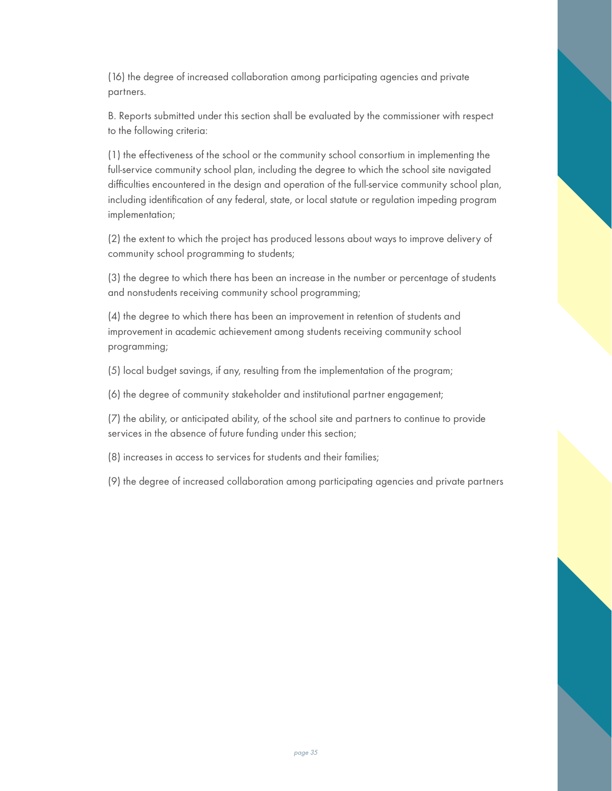(16) the degree of increased collaboration among participating agencies and private partners.

B. Reports submitted under this section shall be evaluated by the commissioner with respect to the following criteria:

(1) the effectiveness of the school or the community school consortium in implementing the full-service community school plan, including the degree to which the school site navigated difficulties encountered in the design and operation of the full-service community school plan, including identification of any federal, state, or local statute or regulation impeding program implementation;

(2) the extent to which the project has produced lessons about ways to improve delivery of community school programming to students;

(3) the degree to which there has been an increase in the number or percentage of students and nonstudents receiving community school programming;

(4) the degree to which there has been an improvement in retention of students and improvement in academic achievement among students receiving community school programming;

(5) local budget savings, if any, resulting from the implementation of the program;

(6) the degree of community stakeholder and institutional partner engagement;

(7) the ability, or anticipated ability, of the school site and partners to continue to provide services in the absence of future funding under this section;

(8) increases in access to services for students and their families;

(9) the degree of increased collaboration among participating agencies and private partners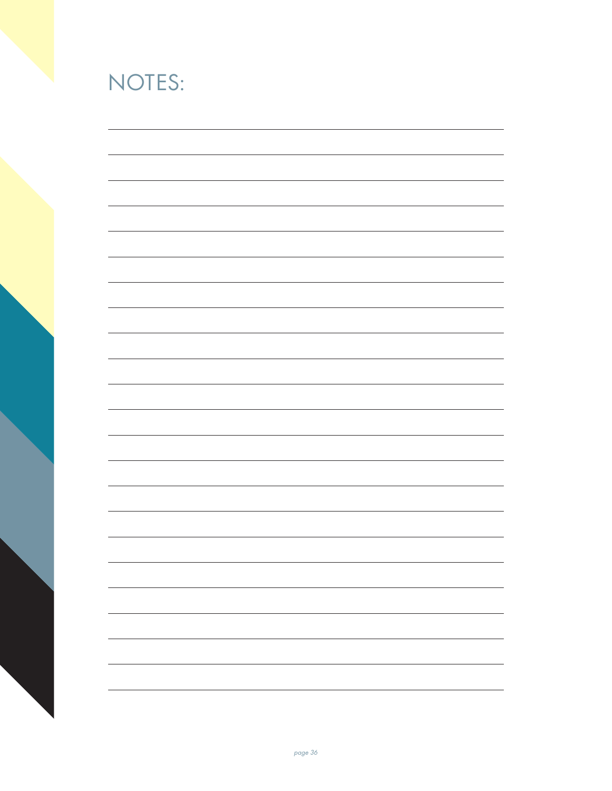| <b>NOTES:</b> |  |  |
|---------------|--|--|
|               |  |  |
|               |  |  |
|               |  |  |
|               |  |  |
|               |  |  |
|               |  |  |
|               |  |  |
|               |  |  |
|               |  |  |
|               |  |  |
|               |  |  |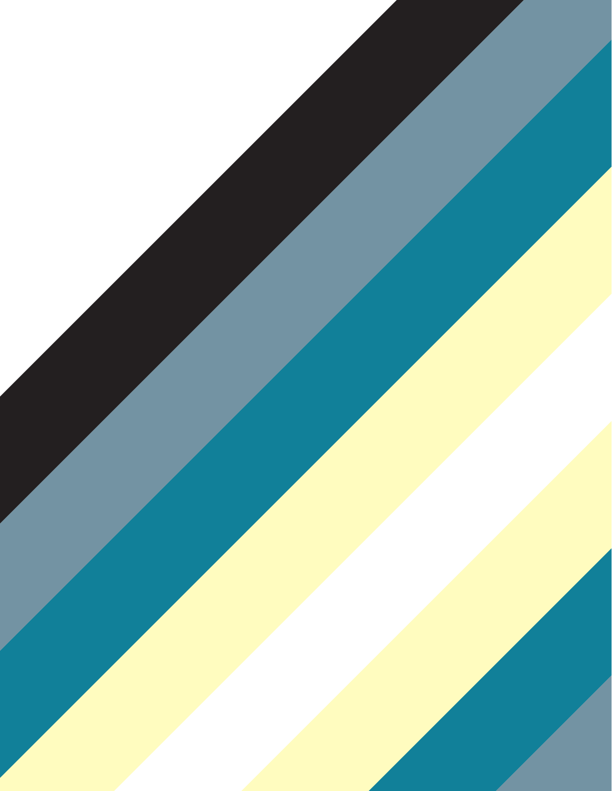